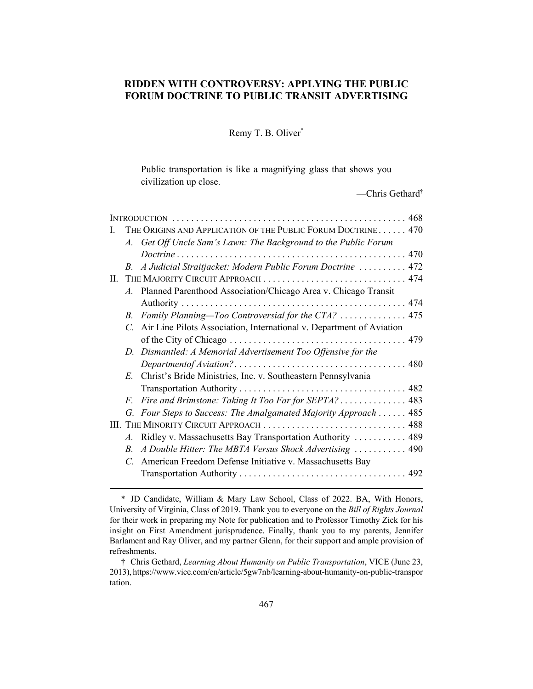# **RIDDEN WITH CONTROVERSY: APPLYING THE PUBLIC FORUM DOCTRINE TO PUBLIC TRANSIT ADVERTISING**

Remy T. B. Oliver\*

Public transportation is like a magnifying glass that shows you civilization up close.

—Chris Gethard†

| L       |               | THE ORIGINS AND APPLICATION OF THE PUBLIC FORUM DOCTRINE 470         |  |  |  |
|---------|---------------|----------------------------------------------------------------------|--|--|--|
|         |               | A. Get Off Uncle Sam's Lawn: The Background to the Public Forum      |  |  |  |
|         |               |                                                                      |  |  |  |
|         | $B_{-}$       | A Judicial Straitjacket: Modern Public Forum Doctrine  472           |  |  |  |
| $\Pi$ . |               | THE MAJORITY CIRCUIT APPROACH  474                                   |  |  |  |
|         |               | A. Planned Parenthood Association/Chicago Area v. Chicago Transit    |  |  |  |
|         |               |                                                                      |  |  |  |
|         | $B_{-}$       | Family Planning-Too Controversial for the CTA?  475                  |  |  |  |
|         | $\mathcal{C}$ | Air Line Pilots Association, International v. Department of Aviation |  |  |  |
|         |               |                                                                      |  |  |  |
|         |               | D. Dismantled: A Memorial Advertisement Too Offensive for the        |  |  |  |
|         |               |                                                                      |  |  |  |
|         | $E_{-}$       | Christ's Bride Ministries, Inc. v. Southeastern Pennsylvania         |  |  |  |
|         |               |                                                                      |  |  |  |
|         | $F_{-}$       | Fire and Brimstone: Taking It Too Far for SEPTA? 483                 |  |  |  |
|         |               | G. Four Steps to Success: The Amalgamated Majority Approach  485     |  |  |  |
|         |               | III. THE MINORITY CIRCUIT APPROACH  488                              |  |  |  |
|         | $A_{-}$       | Ridley v. Massachusetts Bay Transportation Authority  489            |  |  |  |
|         | $B_{-}$       | A Double Hitter: The MBTA Versus Shock Advertising  490              |  |  |  |
|         |               | C. American Freedom Defense Initiative v. Massachusetts Bay          |  |  |  |
|         |               |                                                                      |  |  |  |
|         |               |                                                                      |  |  |  |

<sup>\*</sup> JD Candidate, William & Mary Law School, Class of 2022. BA, With Honors, University of Virginia, Class of 2019. Thank you to everyone on the *Bill of Rights Journal* for their work in preparing my Note for publication and to Professor Timothy Zick for his insight on First Amendment jurisprudence. Finally, thank you to my parents, Jennifer Barlament and Ray Oliver, and my partner Glenn, for their support and ample provision of refreshments.

<sup>†</sup> Chris Gethard, *Learning About Humanity on Public Transportation*, VICE (June 23, 2013), https://www.vice.com/en/article/5gw7nb/learning-about-humanity-on-public-transpor tation.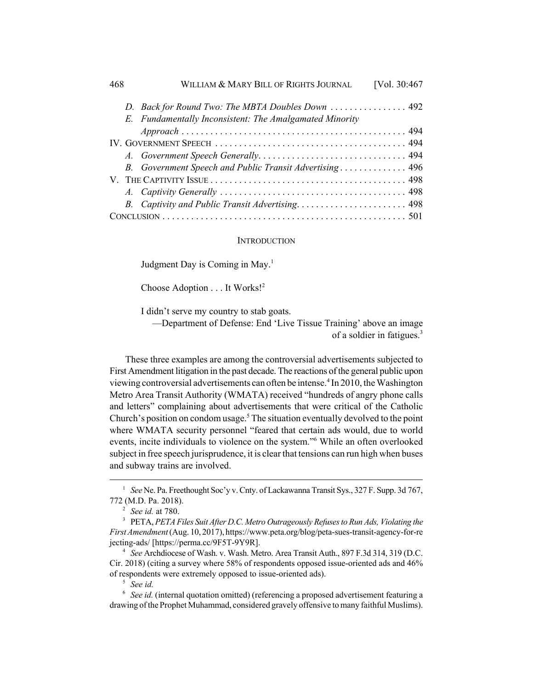| 468 | WILLIAM & MARY BILL OF RIGHTS JOURNAL                   | [Vol. 30:467 |
|-----|---------------------------------------------------------|--------------|
|     | D. Back for Round Two: The MBTA Doubles Down  492       |              |
|     | E. Fundamentally Inconsistent: The Amalgamated Minority |              |
|     |                                                         |              |
|     |                                                         |              |
|     |                                                         |              |
|     | B. Government Speech and Public Transit Advertising 496 |              |
|     |                                                         |              |
|     |                                                         |              |
|     | B. Captivity and Public Transit Advertising 498         |              |
|     |                                                         |              |

#### **INTRODUCTION**

Judgment Day is Coming in May.<sup>1</sup>

Choose Adoption . . . It Works!2

I didn't serve my country to stab goats.

—Department of Defense: End 'Live Tissue Training' above an image of a soldier in fatigues.3

These three examples are among the controversial advertisements subjected to First Amendment litigation in the past decade. The reactions of the general public upon viewing controversial advertisements can often be intense.<sup>4</sup> In 2010, the Washington Metro Area Transit Authority (WMATA) received "hundreds of angry phone calls and letters" complaining about advertisements that were critical of the Catholic Church's position on condom usage.<sup>5</sup> The situation eventually devolved to the point where WMATA security personnel "feared that certain ads would, due to world events, incite individuals to violence on the system."6 While an often overlooked subject in free speech jurisprudence, it is clear that tensions can run high when buses and subway trains are involved.

<sup>6</sup> *See id.* (internal quotation omitted) (referencing a proposed advertisement featuring a drawing of the Prophet Muhammad, considered gravely offensive to many faithful Muslims).

<sup>1</sup> *See* Ne. Pa. Freethought Soc'y v. Cnty. of Lackawanna Transit Sys., 327 F. Supp. 3d 767, 772 (M.D. Pa. 2018).

<sup>2</sup> *See id.* at 780.

<sup>3</sup> PETA, *PETA Files Suit After D.C. Metro Outrageously Refuses to Run Ads, Violating the First Amendment* (Aug. 10, 2017), https://www.peta.org/blog/peta-sues-transit-agency-for-re jecting-ads/ [https://perma.cc/9F5T-9Y9R].

<sup>4</sup> *See* Archdiocese of Wash. v. Wash. Metro. Area Transit Auth., 897 F.3d 314, 319 (D.C. Cir. 2018) (citing a survey where 58% of respondents opposed issue-oriented ads and 46% of respondents were extremely opposed to issue-oriented ads).

<sup>5</sup> *See id.*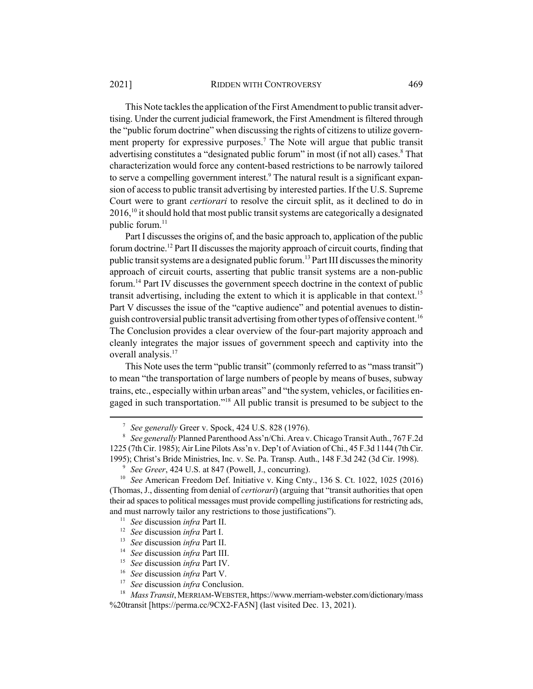This Note tackles the application of the First Amendment to public transit advertising. Under the current judicial framework, the First Amendment is filtered through the "public forum doctrine" when discussing the rights of citizens to utilize government property for expressive purposes.<sup>7</sup> The Note will argue that public transit advertising constitutes a "designated public forum" in most (if not all) cases.<sup>8</sup> That characterization would force any content-based restrictions to be narrowly tailored to serve a compelling government interest.<sup>9</sup> The natural result is a significant expansion of access to public transit advertising by interested parties. If the U.S. Supreme Court were to grant *certiorari* to resolve the circuit split, as it declined to do in  $2016<sup>10</sup>$  it should hold that most public transit systems are categorically a designated public forum.<sup>11</sup>

Part I discusses the origins of, and the basic approach to, application of the public forum doctrine.<sup>12</sup> Part II discusses the majority approach of circuit courts, finding that public transit systems are a designated public forum.<sup>13</sup> Part III discusses the minority approach of circuit courts, asserting that public transit systems are a non-public forum.14 Part IV discusses the government speech doctrine in the context of public transit advertising, including the extent to which it is applicable in that context.<sup>15</sup> Part V discusses the issue of the "captive audience" and potential avenues to distinguish controversial public transit advertising from other types of offensive content.<sup>16</sup> The Conclusion provides a clear overview of the four-part majority approach and cleanly integrates the major issues of government speech and captivity into the overall analysis.<sup>17</sup>

This Note uses the term "public transit" (commonly referred to as "mass transit") to mean "the transportation of large numbers of people by means of buses, subway trains, etc., especially within urban areas" and "the system, vehicles, or facilities engaged in such transportation."18 All public transit is presumed to be subject to the

<sup>7</sup> *See generally* Greer v. Spock, 424 U.S. 828 (1976).

<sup>8</sup> *See generally* Planned Parenthood Ass'n/Chi. Area v. Chicago Transit Auth., 767 F.2d 1225 (7th Cir. 1985); Air Line Pilots Ass'n v. Dep't of Aviation of Chi., 45 F.3d 1144 (7th Cir. 1995); Christ's Bride Ministries, Inc. v. Se. Pa. Transp. Auth., 148 F.3d 242 (3d Cir. 1998).

<sup>9</sup> *See Greer*, 424 U.S. at 847 (Powell, J., concurring).

<sup>10</sup> *See* American Freedom Def. Initiative v. King Cnty., 136 S. Ct. 1022, 1025 (2016) (Thomas, J., dissenting from denial of *certiorari*) (arguing that "transit authorities that open their ad spaces to political messages must provide compelling justifications for restricting ads, and must narrowly tailor any restrictions to those justifications").

<sup>11</sup> *See* discussion *infra* Part II.

<sup>12</sup> *See* discussion *infra* Part I.

<sup>13</sup> *See* discussion *infra* Part II.

<sup>14</sup> *See* discussion *infra* Part III.

<sup>15</sup> *See* discussion *infra* Part IV.

<sup>16</sup> *See* discussion *infra* Part V.

<sup>17</sup> *See* discussion *infra* Conclusion.

<sup>18</sup> *Mass Transit*, MERRIAM-WEBSTER, https://www.merriam-webster.com/dictionary/mass %20transit [https://perma.cc/9CX2-FA5N] (last visited Dec. 13, 2021).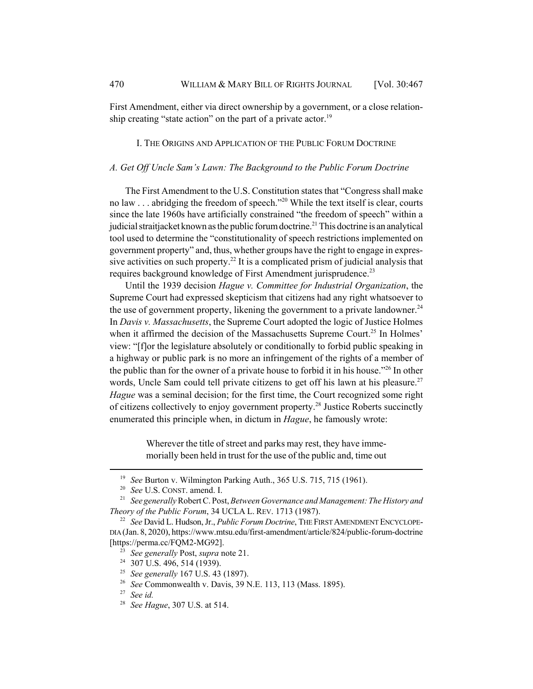First Amendment, either via direct ownership by a government, or a close relationship creating "state action" on the part of a private actor.<sup>19</sup>

## I. THE ORIGINS AND APPLICATION OF THE PUBLIC FORUM DOCTRINE

## *A. Get Off Uncle Sam's Lawn: The Background to the Public Forum Doctrine*

The First Amendment to the U.S. Constitution states that "Congress shall make no law . . . abridging the freedom of speech."<sup>20</sup> While the text itself is clear, courts since the late 1960s have artificially constrained "the freedom of speech" within a judicial straitjacket known as the public forum doctrine.<sup>21</sup> This doctrine is an analytical tool used to determine the "constitutionality of speech restrictions implemented on government property" and, thus, whether groups have the right to engage in expressive activities on such property.<sup>22</sup> It is a complicated prism of judicial analysis that requires background knowledge of First Amendment jurisprudence.<sup>23</sup>

Until the 1939 decision *Hague v. Committee for Industrial Organization*, the Supreme Court had expressed skepticism that citizens had any right whatsoever to the use of government property, likening the government to a private landowner.<sup>24</sup> In *Davis v. Massachusetts*, the Supreme Court adopted the logic of Justice Holmes when it affirmed the decision of the Massachusetts Supreme Court.<sup>25</sup> In Holmes' view: "[f]or the legislature absolutely or conditionally to forbid public speaking in a highway or public park is no more an infringement of the rights of a member of the public than for the owner of a private house to forbid it in his house."<sup>26</sup> In other words, Uncle Sam could tell private citizens to get off his lawn at his pleasure.<sup>27</sup> *Hague* was a seminal decision; for the first time, the Court recognized some right of citizens collectively to enjoy government property.<sup>28</sup> Justice Roberts succinctly enumerated this principle when, in dictum in *Hague*, he famously wrote:

> Wherever the title of street and parks may rest, they have immemorially been held in trust for the use of the public and, time out

<sup>19</sup> *See* Burton v. Wilmington Parking Auth., 365 U.S. 715, 715 (1961).

<sup>20</sup> *See* U.S. CONST. amend. I.

<sup>21</sup> *See generally* Robert C. Post, *Between Governance and Management: The History and Theory of the Public Forum*, 34 UCLA L. REV. 1713 (1987).

<sup>22</sup> *See* David L. Hudson, Jr., *Public Forum Doctrine*, THE FIRST AMENDMENT ENCYCLOPE-DIA (Jan. 8, 2020), https://www.mtsu.edu/first-amendment/article/824/public-forum-doctrine [https://perma.cc/FQM2-MG92].

<sup>23</sup> *See generally* Post, *supra* note 21.

<sup>&</sup>lt;sup>24</sup> 307 U.S. 496, 514 (1939).

<sup>25</sup> *See generally* 167 U.S. 43 (1897).

<sup>26</sup> *See* Commonwealth v. Davis, 39 N.E. 113, 113 (Mass. 1895).

<sup>27</sup> *See id.*

<sup>28</sup> *See Hague*, 307 U.S. at 514.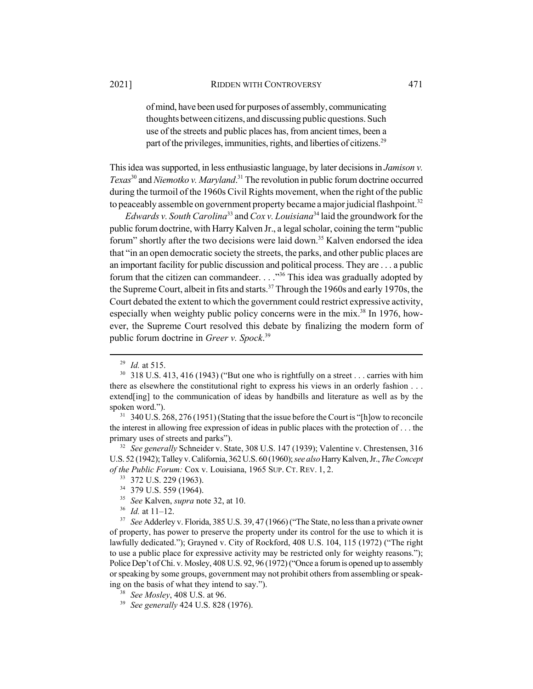of mind, have been used for purposes of assembly, communicating thoughts between citizens, and discussing public questions. Such use of the streets and public places has, from ancient times, been a part of the privileges, immunities, rights, and liberties of citizens.<sup>29</sup>

This idea was supported, in less enthusiastic language, by later decisions in *Jamison v. Texas*30 and *Niemotko v. Maryland*. 31 The revolution in public forum doctrine occurred during the turmoil of the 1960s Civil Rights movement, when the right of the public to peaceably assemble on government property became a major judicial flashpoint.<sup>32</sup>

*Edwards v. South Carolina*33 and *Cox v. Louisiana*34 laid the groundwork for the public forum doctrine, with Harry Kalven Jr., a legal scholar, coining the term "public forum" shortly after the two decisions were laid down.<sup>35</sup> Kalven endorsed the idea that "in an open democratic society the streets, the parks, and other public places are an important facility for public discussion and political process. They are . . . a public forum that the citizen can commandeer.  $\ldots$ <sup>36</sup> This idea was gradually adopted by the Supreme Court, albeit in fits and starts.<sup>37</sup> Through the 1960s and early 1970s, the Court debated the extent to which the government could restrict expressive activity, especially when weighty public policy concerns were in the mix.<sup>38</sup> In 1976, however, the Supreme Court resolved this debate by finalizing the modern form of public forum doctrine in *Greer v. Spock*. 39

<sup>29</sup> *Id.* at 515.

 $30\,$  318 U.S. 413, 416 (1943) ("But one who is rightfully on a street ... carries with him there as elsewhere the constitutional right to express his views in an orderly fashion . . . extend[ing] to the communication of ideas by handbills and literature as well as by the spoken word.").

<sup>&</sup>lt;sup>31</sup> 340 U.S. 268, 276 (1951) (Stating that the issue before the Court is "[h]ow to reconcile the interest in allowing free expression of ideas in public places with the protection of . . . the primary uses of streets and parks").

<sup>32</sup> *See generally* Schneider v. State, 308 U.S. 147 (1939); Valentine v. Chrestensen, 316 U.S. 52 (1942); Talley v. California, 362 U.S. 60 (1960); *see also* Harry Kalven, Jr., *The Concept of the Public Forum:* Cox v. Louisiana, 1965 SUP. CT. REV. 1, 2.

<sup>33</sup> 372 U.S. 229 (1963).

<sup>34</sup> 379 U.S. 559 (1964).

<sup>35</sup> *See* Kalven, *supra* note 32, at 10.

<sup>36</sup> *Id.* at 11–12.

<sup>&</sup>lt;sup>37</sup> *See* Adderley v. Florida, 385 U.S. 39, 47 (1966) ("The State, no less than a private owner of property, has power to preserve the property under its control for the use to which it is lawfully dedicated."); Grayned v. City of Rockford, 408 U.S. 104, 115 (1972) ("The right to use a public place for expressive activity may be restricted only for weighty reasons."); Police Dep't of Chi. v. Mosley, 408 U.S. 92, 96 (1972) ("Once a forum is opened up to assembly or speaking by some groups, government may not prohibit others from assembling or speaking on the basis of what they intend to say.").

<sup>38</sup> *See Mosley*, 408 U.S. at 96.

<sup>39</sup> *See generally* 424 U.S. 828 (1976).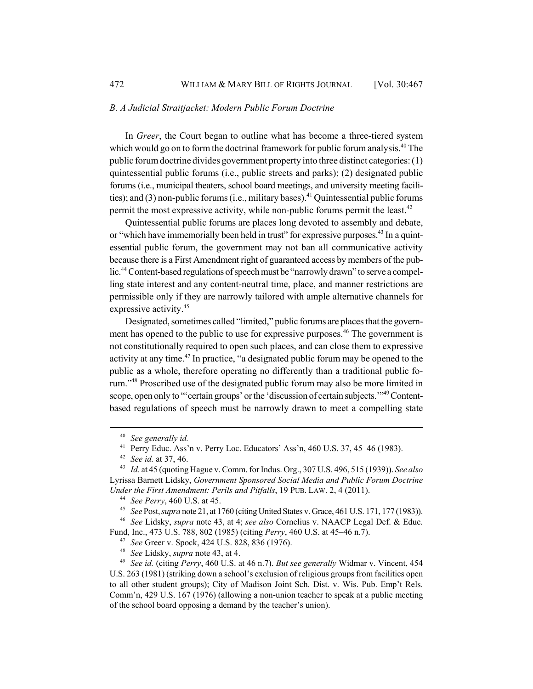#### *B. A Judicial Straitjacket: Modern Public Forum Doctrine*

In *Greer*, the Court began to outline what has become a three-tiered system which would go on to form the doctrinal framework for public forum analysis.<sup>40</sup> The public forum doctrine divides government property into three distinct categories: (1) quintessential public forums (i.e., public streets and parks); (2) designated public forums (i.e., municipal theaters, school board meetings, and university meeting facilities); and  $(3)$  non-public forums (i.e., military bases).<sup>41</sup> Quintessential public forums permit the most expressive activity, while non-public forums permit the least.<sup>42</sup>

Quintessential public forums are places long devoted to assembly and debate, or "which have immemorially been held in trust" for expressive purposes.<sup>43</sup> In a quintessential public forum, the government may not ban all communicative activity because there is a First Amendment right of guaranteed access by members of the public.<sup>44</sup> Content-based regulations of speech must be "narrowly drawn" to serve a compelling state interest and any content-neutral time, place, and manner restrictions are permissible only if they are narrowly tailored with ample alternative channels for expressive activity.<sup>45</sup>

Designated, sometimes called "limited," public forums are places that the government has opened to the public to use for expressive purposes.<sup>46</sup> The government is not constitutionally required to open such places, and can close them to expressive activity at any time.47 In practice, "a designated public forum may be opened to the public as a whole, therefore operating no differently than a traditional public forum."48 Proscribed use of the designated public forum may also be more limited in scope, open only to "'certain groups' or the 'discussion of certain subjects."<sup>49</sup> Contentbased regulations of speech must be narrowly drawn to meet a compelling state

<sup>46</sup> *See* Lidsky, *supra* note 43, at 4; *see also* Cornelius v. NAACP Legal Def. & Educ. Fund, Inc., 473 U.S. 788, 802 (1985) (citing *Perry*, 460 U.S. at 45–46 n.7).

<sup>48</sup> *See* Lidsky, *supra* note 43, at 4.

<sup>40</sup> *See generally id.*

<sup>&</sup>lt;sup>41</sup> Perry Educ. Ass'n v. Perry Loc. Educators' Ass'n, 460 U.S. 37, 45-46 (1983).

<sup>42</sup> *See id.* at 37, 46.

<sup>43</sup> *Id.* at 45 (quoting Hague v. Comm. for Indus. Org., 307 U.S. 496, 515 (1939)). *See also* Lyrissa Barnett Lidsky, *Government Sponsored Social Media and Public Forum Doctrine Under the First Amendment: Perils and Pitfalls*, 19 PUB. LAW. 2, 4 (2011).

<sup>44</sup> *See Perry*, 460 U.S. at 45.

<sup>45</sup> *See* Post, *supra* note 21, at 1760 (citing United States v. Grace, 461 U.S. 171, 177 (1983)).

<sup>47</sup> *See* Greer v. Spock, 424 U.S. 828, 836 (1976).

<sup>49</sup> *See id.* (citing *Perry*, 460 U.S. at 46 n.7). *But see generally* Widmar v. Vincent, 454 U.S. 263 (1981) (striking down a school's exclusion of religious groups from facilities open to all other student groups); City of Madison Joint Sch. Dist. v. Wis. Pub. Emp't Rels. Comm'n, 429 U.S. 167 (1976) (allowing a non-union teacher to speak at a public meeting of the school board opposing a demand by the teacher's union).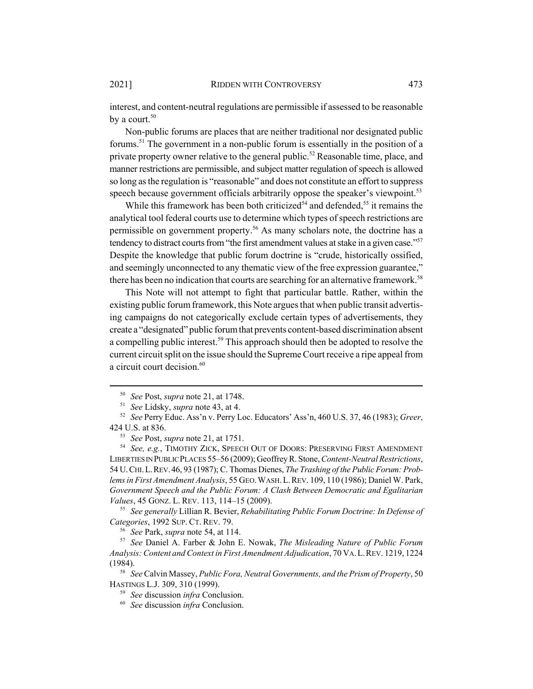interest, and content-neutral regulations are permissible if assessed to be reasonable by a court. $50$ 

Non-public forums are places that are neither traditional nor designated public forums.<sup>51</sup> The government in a non-public forum is essentially in the position of a private property owner relative to the general public.<sup>52</sup> Reasonable time, place, and manner restrictions are permissible, and subject matter regulation of speech is allowed so long as the regulation is "reasonable" and does not constitute an effort to suppress speech because government officials arbitrarily oppose the speaker's viewpoint.<sup>53</sup>

While this framework has been both criticized<sup>54</sup> and defended,<sup>55</sup> it remains the analytical tool federal courts use to determine which types of speech restrictions are permissible on government property.<sup>56</sup> As many scholars note, the doctrine has a tendency to distract courts from "the first amendment values at stake in a given case."<sup>57</sup> Despite the knowledge that public forum doctrine is "crude, historically ossified, and seemingly unconnected to any thematic view of the free expression guarantee," there has been no indication that courts are searching for an alternative framework.<sup>58</sup>

This Note will not attempt to fight that particular battle. Rather, within the existing public forum framework, this Note argues that when public transit advertising campaigns do not categorically exclude certain types of advertisements, they create a "designated" public forum that prevents content-based discrimination absent a compelling public interest.<sup>59</sup> This approach should then be adopted to resolve the current circuit split on the issue should the Supreme Court receive a ripe appeal from a circuit court decision.<sup>60</sup>

<sup>55</sup> *See generally* Lillian R. Bevier, *Rehabilitating Public Forum Doctrine: In Defense of Categories*, 1992 SUP. CT. REV. 79.

<sup>56</sup> *See* Park, *supra* note 54, at 114.

<sup>50</sup> *See* Post, *supra* note 21, at 1748.

<sup>51</sup> *See* Lidsky, *supra* note 43, at 4.

<sup>52</sup> *See* Perry Educ. Ass'n v. Perry Loc. Educators' Ass'n, 460 U.S. 37, 46 (1983); *Greer*, 424 U.S. at 836.

<sup>53</sup> *See* Post, *supra* note 21, at 1751.

<sup>54</sup> *See, e.g.*, TIMOTHY ZICK, SPEECH OUT OF DOORS: PRESERVING FIRST AMENDMENT LIBERTIES IN PUBLIC PLACES 55–56 (2009); Geoffrey R. Stone, *Content-Neutral Restrictions*, 54 U.CHI.L.REV.46, 93 (1987); C. Thomas Dienes, *The Trashing of the Public Forum: Problems in First Amendment Analysis*, 55 GEO.WASH.L.REV. 109, 110 (1986); Daniel W. Park, *Government Speech and the Public Forum: A Clash Between Democratic and Egalitarian Values*, 45 GONZ. L. REV. 113, 114–15 (2009).

<sup>57</sup> *See* Daniel A. Farber & John E. Nowak, *The Misleading Nature of Public Forum Analysis: Content and Context in First Amendment Adjudication*, 70 VA.L.REV. 1219, 1224 (1984).

<sup>58</sup> *See* Calvin Massey, *Public Fora, Neutral Governments, and the Prism of Property*, 50 HASTINGS L.J. 309, 310 (1999).

<sup>59</sup> *See* discussion *infra* Conclusion.

<sup>60</sup> *See* discussion *infra* Conclusion.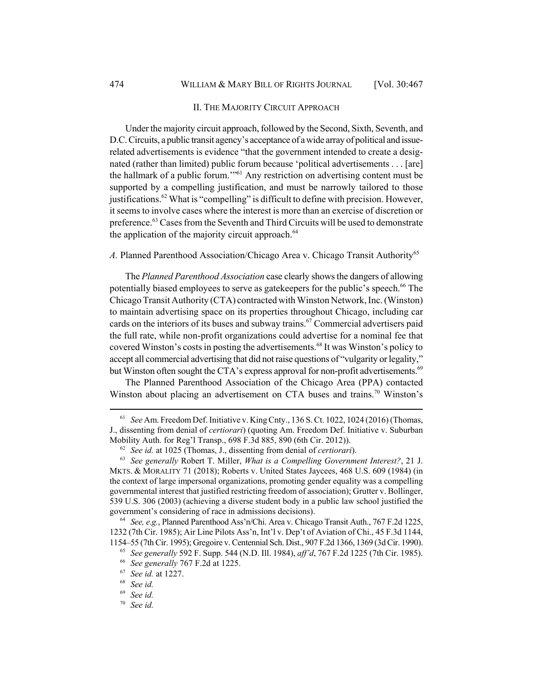## II. THE MAJORITY CIRCUIT APPROACH

Under the majority circuit approach, followed by the Second, Sixth, Seventh, and D.C. Circuits, a public transit agency's acceptance of a wide array of political and issuerelated advertisements is evidence "that the government intended to create a designated (rather than limited) public forum because 'political advertisements . . . [are] the hallmark of a public forum.'"61 Any restriction on advertising content must be supported by a compelling justification, and must be narrowly tailored to those justifications.<sup>62</sup> What is "compelling" is difficult to define with precision. However, it seems to involve cases where the interest is more than an exercise of discretion or preference.<sup>63</sup> Cases from the Seventh and Third Circuits will be used to demonstrate the application of the majority circuit approach.<sup>64</sup>

## *A.* Planned Parenthood Association/Chicago Area v. Chicago Transit Authority<sup>65</sup>

The *Planned Parenthood Association* case clearly shows the dangers of allowing potentially biased employees to serve as gatekeepers for the public's speech.<sup>66</sup> The Chicago Transit Authority (CTA) contracted with Winston Network, Inc. (Winston) to maintain advertising space on its properties throughout Chicago, including car cards on the interiors of its buses and subway trains.<sup>67</sup> Commercial advertisers paid the full rate, while non-profit organizations could advertise for a nominal fee that covered Winston's costs in posting the advertisements.<sup>68</sup> It was Winston's policy to accept all commercial advertising that did not raise questions of "vulgarity or legality," but Winston often sought the CTA's express approval for non-profit advertisements.<sup>69</sup>

The Planned Parenthood Association of the Chicago Area (PPA) contacted Winston about placing an advertisement on CTA buses and trains.<sup>70</sup> Winston's

<sup>61</sup> *See* Am. Freedom Def. Initiative v. King Cnty., 136 S. Ct. 1022, 1024 (2016) (Thomas, J., dissenting from denial of *certiorari*) (quoting Am. Freedom Def. Initiative v. Suburban Mobility Auth. for Reg'l Transp., 698 F.3d 885, 890 (6th Cir. 2012)).

<sup>62</sup> *See id.* at 1025 (Thomas, J., dissenting from denial of *certiorari*).

<sup>63</sup> *See generally* Robert T. Miller, *What is a Compelling Government Interest?*, 21 J. MKTS. & MORALITY 71 (2018); Roberts v. United States Jaycees, 468 U.S. 609 (1984) (in the context of large impersonal organizations, promoting gender equality was a compelling governmental interest that justified restricting freedom of association); Grutter v. Bollinger, 539 U.S. 306 (2003) (achieving a diverse student body in a public law school justified the government's considering of race in admissions decisions).

<sup>64</sup> *See, e.g.*, Planned Parenthood Ass'n/Chi. Area v. Chicago Transit Auth., 767 F.2d 1225, 1232 (7th Cir. 1985); Air Line Pilots Ass'n, Int'l v. Dep't of Aviation of Chi., 45 F.3d 1144, 1154–55 (7th Cir. 1995); Gregoire v. Centennial Sch. Dist., 907 F.2d 1366, 1369 (3d Cir. 1990).

<sup>65</sup> *See generally* 592 F. Supp. 544 (N.D. Ill. 1984), *aff'd*, 767 F.2d 1225 (7th Cir. 1985).

<sup>66</sup> *See generally* 767 F.2d at 1225.

<sup>67</sup> *See id.* at 1227.

<sup>68</sup> *See id.*

<sup>69</sup> *See id.*

<sup>70</sup> *See id.*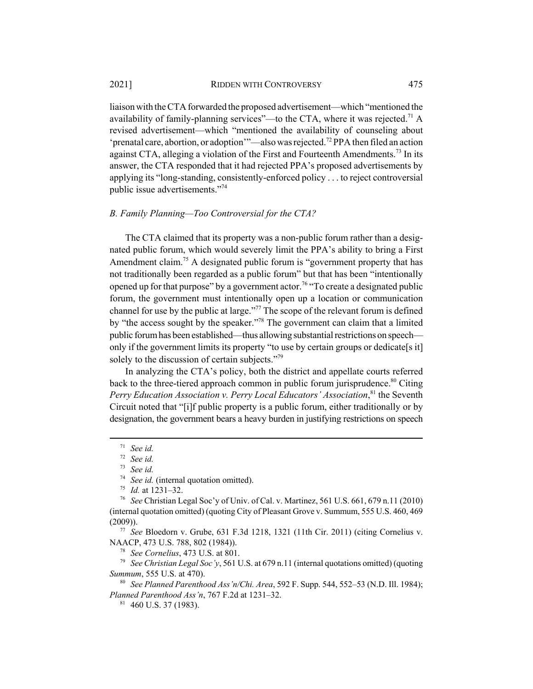liaison with the CTA forwarded the proposed advertisement—which "mentioned the availability of family-planning services"—to the CTA, where it was rejected.<sup>71</sup> A revised advertisement—which "mentioned the availability of counseling about 'prenatal care, abortion, or adoption'"—also was rejected.<sup>72</sup> PPA then filed an action against CTA, alleging a violation of the First and Fourteenth Amendments.<sup>73</sup> In its answer, the CTA responded that it had rejected PPA's proposed advertisements by applying its "long-standing, consistently-enforced policy . . . to reject controversial public issue advertisements."74

### *B. Family Planning—Too Controversial for the CTA?*

The CTA claimed that its property was a non-public forum rather than a designated public forum, which would severely limit the PPA's ability to bring a First Amendment claim.<sup>75</sup> A designated public forum is "government property that has not traditionally been regarded as a public forum" but that has been "intentionally opened up for that purpose" by a government actor.<sup>76</sup> "To create a designated public forum, the government must intentionally open up a location or communication channel for use by the public at large."77 The scope of the relevant forum is defined by "the access sought by the speaker."78 The government can claim that a limited public forum has been established—thus allowing substantial restrictions on speech only if the government limits its property "to use by certain groups or dedicate[s it] solely to the discussion of certain subjects."<sup>79</sup>

In analyzing the CTA's policy, both the district and appellate courts referred back to the three-tiered approach common in public forum jurisprudence.<sup>80</sup> Citing *Perry Education Association v. Perry Local Educators' Association*, 81 the Seventh Circuit noted that "[i]f public property is a public forum, either traditionally or by designation, the government bears a heavy burden in justifying restrictions on speech

<sup>71</sup> *See id.*

<sup>72</sup> *See id.*

<sup>73</sup> *See id.*

<sup>74</sup> *See id.* (internal quotation omitted).

<sup>75</sup> *Id.* at 1231–32.

<sup>76</sup> *See* Christian Legal Soc'y of Univ. of Cal. v. Martinez, 561 U.S. 661, 679 n.11 (2010) (internal quotation omitted) (quoting City of Pleasant Grove v. Summum, 555 U.S. 460, 469 (2009)).

<sup>77</sup> *See* Bloedorn v. Grube, 631 F.3d 1218, 1321 (11th Cir. 2011) (citing Cornelius v. NAACP, 473 U.S. 788, 802 (1984)).

<sup>78</sup> *See Cornelius*, 473 U.S. at 801.

<sup>79</sup> *See Christian Legal Soc'y*, 561 U.S. at 679 n.11 (internal quotations omitted) (quoting *Summum*, 555 U.S. at 470).

<sup>80</sup> *See Planned Parenthood Ass'n/Chi. Area*, 592 F. Supp. 544, 552–53 (N.D. Ill. 1984); *Planned Parenthood Ass'n*, 767 F.2d at 1231–32.

 $81$  460 U.S. 37 (1983).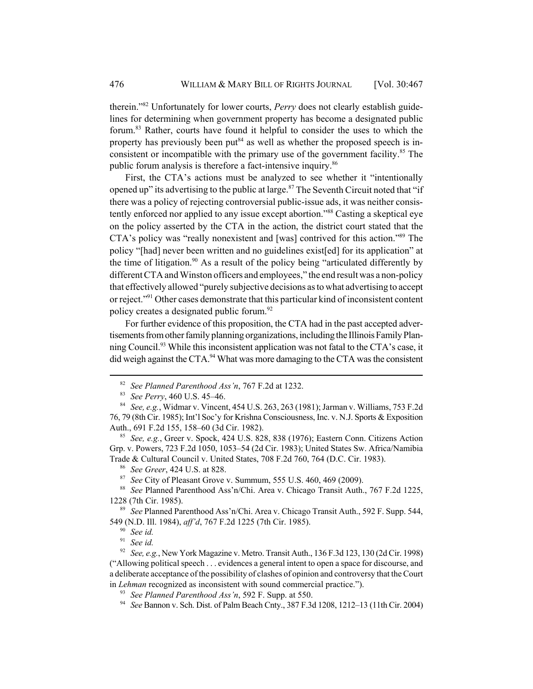therein."82 Unfortunately for lower courts, *Perry* does not clearly establish guidelines for determining when government property has become a designated public forum.83 Rather, courts have found it helpful to consider the uses to which the property has previously been put<sup>84</sup> as well as whether the proposed speech is inconsistent or incompatible with the primary use of the government facility.<sup>85</sup> The public forum analysis is therefore a fact-intensive inquiry.<sup>86</sup>

First, the CTA's actions must be analyzed to see whether it "intentionally opened up" its advertising to the public at large. $87$  The Seventh Circuit noted that "if there was a policy of rejecting controversial public-issue ads, it was neither consistently enforced nor applied to any issue except abortion."<sup>88</sup> Casting a skeptical eye on the policy asserted by the CTA in the action, the district court stated that the CTA's policy was "really nonexistent and [was] contrived for this action."89 The policy "[had] never been written and no guidelines exist[ed] for its application" at the time of litigation.<sup>90</sup> As a result of the policy being "articulated differently by different CTA and Winston officers and employees," the end result was a non-policy that effectively allowed "purely subjective decisions as to what advertising to accept or reject."<sup>91</sup> Other cases demonstrate that this particular kind of inconsistent content policy creates a designated public forum.<sup>92</sup>

For further evidence of this proposition, the CTA had in the past accepted advertisements from other family planning organizations, including the Illinois Family Planning Council.<sup>93</sup> While this inconsistent application was not fatal to the CTA's case, it did weigh against the CTA.<sup>94</sup> What was more damaging to the CTA was the consistent

<sup>87</sup> *See* City of Pleasant Grove v. Summum, 555 U.S. 460, 469 (2009).

<sup>89</sup> *See* Planned Parenthood Ass'n/Chi. Area v. Chicago Transit Auth., 592 F. Supp. 544, 549 (N.D. Ill. 1984), *aff'd*, 767 F.2d 1225 (7th Cir. 1985).

<sup>91</sup> *See id.*

<sup>82</sup> *See Planned Parenthood Ass'n*, 767 F.2d at 1232.

<sup>83</sup> *See Perry*, 460 U.S. 45–46.

<sup>84</sup> *See, e.g.*, Widmar v. Vincent, 454 U.S. 263, 263 (1981); Jarman v. Williams, 753 F.2d 76, 79 (8th Cir. 1985); Int'l Soc'y for Krishna Consciousness, Inc. v. N.J. Sports & Exposition Auth., 691 F.2d 155, 158–60 (3d Cir. 1982).

<sup>85</sup> *See, e.g.*, Greer v. Spock, 424 U.S. 828, 838 (1976); Eastern Conn. Citizens Action Grp. v. Powers, 723 F.2d 1050, 1053–54 (2d Cir. 1983); United States Sw. Africa/Namibia Trade & Cultural Council v. United States, 708 F.2d 760, 764 (D.C. Cir. 1983).

<sup>86</sup> *See Greer*, 424 U.S. at 828.

<sup>88</sup> *See* Planned Parenthood Ass'n/Chi. Area v. Chicago Transit Auth., 767 F.2d 1225, 1228 (7th Cir. 1985).

<sup>90</sup> *See id.*

<sup>92</sup> *See, e.g.*, New York Magazine v. Metro. Transit Auth., 136 F.3d 123, 130 (2d Cir. 1998) ("Allowing political speech . . . evidences a general intent to open a space for discourse, and a deliberate acceptance of the possibility of clashes of opinion and controversy that the Court in *Lehman* recognized as inconsistent with sound commercial practice.").

<sup>93</sup> *See Planned Parenthood Ass'n*, 592 F. Supp. at 550.

<sup>94</sup> *See* Bannon v. Sch. Dist. of Palm Beach Cnty., 387 F.3d 1208, 1212–13 (11th Cir. 2004)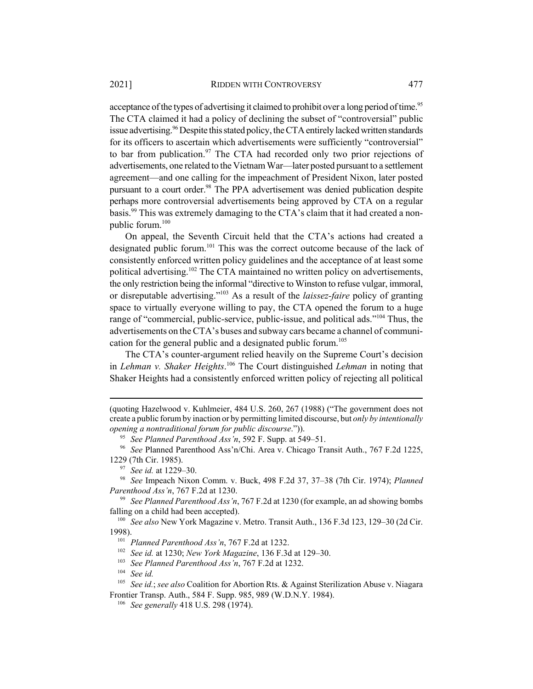acceptance of the types of advertising it claimed to prohibit over a long period of time.<sup>95</sup> The CTA claimed it had a policy of declining the subset of "controversial" public issue advertising.<sup>96</sup> Despite this stated policy, the CTA entirely lacked written standards for its officers to ascertain which advertisements were sufficiently "controversial" to bar from publication.<sup>97</sup> The CTA had recorded only two prior rejections of advertisements, one related to the Vietnam War—later posted pursuant to a settlement agreement—and one calling for the impeachment of President Nixon, later posted pursuant to a court order.<sup>98</sup> The PPA advertisement was denied publication despite perhaps more controversial advertisements being approved by CTA on a regular basis.99 This was extremely damaging to the CTA's claim that it had created a nonpublic forum.100

On appeal, the Seventh Circuit held that the CTA's actions had created a designated public forum.<sup>101</sup> This was the correct outcome because of the lack of consistently enforced written policy guidelines and the acceptance of at least some political advertising.<sup>102</sup> The CTA maintained no written policy on advertisements, the only restriction being the informal "directive to Winston to refuse vulgar, immoral, or disreputable advertising."103 As a result of the *laissez-faire* policy of granting space to virtually everyone willing to pay, the CTA opened the forum to a huge range of "commercial, public-service, public-issue, and political ads."<sup>104</sup> Thus, the advertisements on the CTA's buses and subway cars became a channel of communication for the general public and a designated public forum.<sup>105</sup>

The CTA's counter-argument relied heavily on the Supreme Court's decision in *Lehman v. Shaker Heights*. 106 The Court distinguished *Lehman* in noting that Shaker Heights had a consistently enforced written policy of rejecting all political

<sup>(</sup>quoting Hazelwood v. Kuhlmeier, 484 U.S. 260, 267 (1988) ("The government does not create a public forum by inaction or by permitting limited discourse, but *only by intentionally opening a nontraditional forum for public discourse*.")).

<sup>95</sup> *See Planned Parenthood Ass'n*, 592 F. Supp. at 549–51.

<sup>96</sup> *See* Planned Parenthood Ass'n/Chi. Area v. Chicago Transit Auth., 767 F.2d 1225, 1229 (7th Cir. 1985).

<sup>97</sup> *See id.* at 1229–30.

<sup>98</sup> *See* Impeach Nixon Comm. v. Buck, 498 F.2d 37, 37–38 (7th Cir. 1974); *Planned Parenthood Ass'n*, 767 F.2d at 1230.

<sup>99</sup> *See Planned Parenthood Ass'n*, 767 F.2d at 1230 (for example, an ad showing bombs falling on a child had been accepted).

<sup>100</sup> *See also* New York Magazine v. Metro. Transit Auth., 136 F.3d 123, 129–30 (2d Cir. 1998).

<sup>101</sup> *Planned Parenthood Ass'n*, 767 F.2d at 1232.

<sup>102</sup> *See id.* at 1230; *New York Magazine*, 136 F.3d at 129–30.

<sup>103</sup> *See Planned Parenthood Ass'n*, 767 F.2d at 1232.

<sup>104</sup> *See id.*

<sup>105</sup> *See id.*; *see also* Coalition for Abortion Rts. & Against Sterilization Abuse v. Niagara Frontier Transp. Auth., 584 F. Supp. 985, 989 (W.D.N.Y. 1984).

<sup>106</sup> *See generally* 418 U.S. 298 (1974).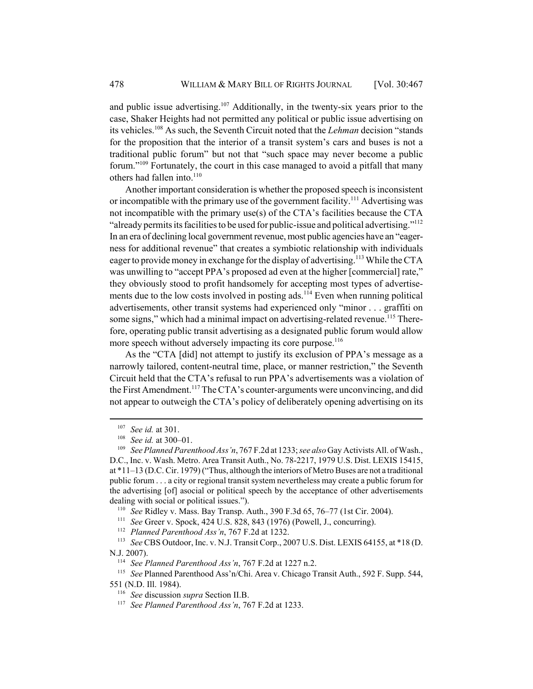and public issue advertising.<sup>107</sup> Additionally, in the twenty-six years prior to the case, Shaker Heights had not permitted any political or public issue advertising on its vehicles.108 As such, the Seventh Circuit noted that the *Lehman* decision "stands for the proposition that the interior of a transit system's cars and buses is not a traditional public forum" but not that "such space may never become a public forum."109 Fortunately, the court in this case managed to avoid a pitfall that many others had fallen into.<sup>110</sup>

Another important consideration is whether the proposed speech is inconsistent or incompatible with the primary use of the government facility.<sup>111</sup> Advertising was not incompatible with the primary use(s) of the CTA's facilities because the CTA "already permits its facilities to be used for public-issue and political advertising."112 In an era of declining local government revenue, most public agencies have an "eagerness for additional revenue" that creates a symbiotic relationship with individuals eager to provide money in exchange for the display of advertising.<sup>113</sup> While the CTA was unwilling to "accept PPA's proposed ad even at the higher [commercial] rate," they obviously stood to profit handsomely for accepting most types of advertisements due to the low costs involved in posting ads.<sup>114</sup> Even when running political advertisements, other transit systems had experienced only "minor . . . graffiti on some signs," which had a minimal impact on advertising-related revenue.<sup>115</sup> Therefore, operating public transit advertising as a designated public forum would allow more speech without adversely impacting its core purpose.<sup>116</sup>

As the "CTA [did] not attempt to justify its exclusion of PPA's message as a narrowly tailored, content-neutral time, place, or manner restriction," the Seventh Circuit held that the CTA's refusal to run PPA's advertisements was a violation of the First Amendment.<sup>117</sup> The CTA's counter-arguments were unconvincing, and did not appear to outweigh the CTA's policy of deliberately opening advertising on its

<sup>107</sup> *See id.* at 301.

<sup>108</sup> *See id.* at 300–01.

<sup>109</sup> *See Planned Parenthood Ass'n*, 767 F.2d at 1233; *see also* Gay Activists All. of Wash., D.C., Inc. v. Wash. Metro. Area Transit Auth., No. 78-2217, 1979 U.S. Dist. LEXIS 15415, at \*11–13 (D.C. Cir. 1979) ("Thus, although the interiors of Metro Buses are not a traditional public forum . . . a city or regional transit system nevertheless may create a public forum for the advertising [of] asocial or political speech by the acceptance of other advertisements dealing with social or political issues.").

<sup>110</sup> *See* Ridley v. Mass. Bay Transp. Auth., 390 F.3d 65, 76–77 (1st Cir. 2004).

<sup>111</sup> *See* Greer v. Spock, 424 U.S. 828, 843 (1976) (Powell, J., concurring).

<sup>112</sup> *Planned Parenthood Ass'n*, 767 F.2d at 1232.

<sup>113</sup> *See* CBS Outdoor, Inc. v. N.J. Transit Corp., 2007 U.S. Dist. LEXIS 64155, at \*18 (D. N.J. 2007).

<sup>114</sup> *See Planned Parenthood Ass'n*, 767 F.2d at 1227 n.2.

<sup>115</sup> *See* Planned Parenthood Ass'n/Chi. Area v. Chicago Transit Auth., 592 F. Supp. 544, 551 (N.D. Ill. 1984).

<sup>116</sup> *See* discussion *supra* Section II.B.

<sup>117</sup> *See Planned Parenthood Ass'n*, 767 F.2d at 1233.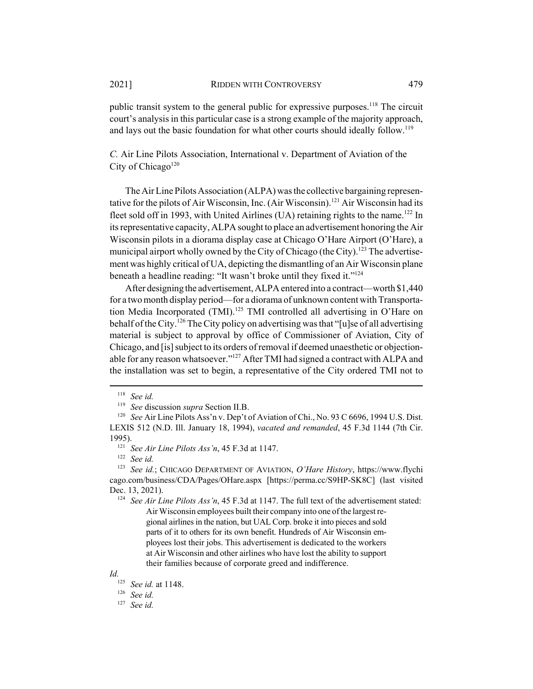public transit system to the general public for expressive purposes.<sup>118</sup> The circuit court's analysis in this particular case is a strong example of the majority approach, and lays out the basic foundation for what other courts should ideally follow.<sup>119</sup>

*C.* Air Line Pilots Association, International v. Department of Aviation of the City of Chicago<sup>120</sup>

The Air Line Pilots Association (ALPA) was the collective bargaining representative for the pilots of Air Wisconsin, Inc. (Air Wisconsin).121 Air Wisconsin had its fleet sold off in 1993, with United Airlines (UA) retaining rights to the name.<sup>122</sup> In its representative capacity, ALPA sought to place an advertisement honoring the Air Wisconsin pilots in a diorama display case at Chicago O'Hare Airport (O'Hare), a municipal airport wholly owned by the City of Chicago (the City).<sup>123</sup> The advertisement was highly critical of UA, depicting the dismantling of an Air Wisconsin plane beneath a headline reading: "It wasn't broke until they fixed it."<sup>124</sup>

After designing the advertisement, ALPA entered into a contract—worth \$1,440 for a two month display period—for a diorama of unknown content with Transportation Media Incorporated (TMI).<sup>125</sup> TMI controlled all advertising in O'Hare on behalf of the City.<sup>126</sup> The City policy on advertising was that "[u]se of all advertising material is subject to approval by office of Commissioner of Aviation, City of Chicago, and [is] subject to its orders of removal if deemed unaesthetic or objectionable for any reason whatsoever."<sup>127</sup> After TMI had signed a contract with ALPA and the installation was set to begin, a representative of the City ordered TMI not to

<sup>124</sup> *See Air Line Pilots Ass'n*, 45 F.3d at 1147. The full text of the advertisement stated: Air Wisconsin employees built their company into one of the largest regional airlines in the nation, but UAL Corp. broke it into pieces and sold parts of it to others for its own benefit. Hundreds of Air Wisconsin employees lost their jobs. This advertisement is dedicated to the workers at Air Wisconsin and other airlines who have lost the ability to support their families because of corporate greed and indifference.

*Id.*

<sup>126</sup> *See id.*

<sup>127</sup> *See id.*

<sup>118</sup> *See id.*

<sup>119</sup> *See* discussion *supra* Section II.B.

<sup>&</sup>lt;sup>120</sup> *See Air Line Pilots Ass'n v. Dep't of Aviation of Chi., No. 93 C 6696, 1994 U.S. Dist.* LEXIS 512 (N.D. Ill. January 18, 1994), *vacated and remanded*, 45 F.3d 1144 (7th Cir. 1995).

<sup>121</sup> *See Air Line Pilots Ass'n*, 45 F.3d at 1147.

<sup>122</sup> *See id.*

<sup>123</sup> *See id.*; CHICAGO DEPARTMENT OF AVIATION, *O'Hare History*, https://www.flychi cago.com/business/CDA/Pages/OHare.aspx [https://perma.cc/S9HP-SK8C] (last visited Dec. 13, 2021).

<sup>125</sup> *See id.* at 1148.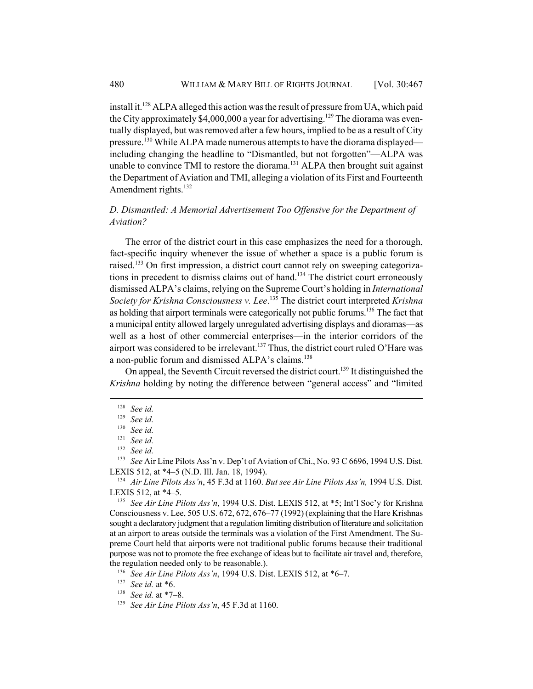install it.<sup>128</sup> ALPA alleged this action was the result of pressure from UA, which paid the City approximately \$4,000,000 a year for advertising.<sup>129</sup> The diorama was eventually displayed, but was removed after a few hours, implied to be as a result of City pressure.<sup>130</sup> While ALPA made numerous attempts to have the diorama displayed including changing the headline to "Dismantled, but not forgotten"—ALPA was unable to convince TMI to restore the diorama.<sup>131</sup> ALPA then brought suit against the Department of Aviation and TMI, alleging a violation of its First and Fourteenth Amendment rights.<sup>132</sup>

# *D. Dismantled: A Memorial Advertisement Too Offensive for the Department of Aviation?*

The error of the district court in this case emphasizes the need for a thorough, fact-specific inquiry whenever the issue of whether a space is a public forum is raised.133 On first impression, a district court cannot rely on sweeping categorizations in precedent to dismiss claims out of hand.<sup>134</sup> The district court erroneously dismissed ALPA's claims, relying on the Supreme Court's holding in *International Society for Krishna Consciousness v. Lee*. 135 The district court interpreted *Krishna* as holding that airport terminals were categorically not public forums.<sup>136</sup> The fact that a municipal entity allowed largely unregulated advertising displays and dioramas—as well as a host of other commercial enterprises—in the interior corridors of the airport was considered to be irrelevant.<sup>137</sup> Thus, the district court ruled O'Hare was a non-public forum and dismissed ALPA's claims.<sup>138</sup>

On appeal, the Seventh Circuit reversed the district court.139 It distinguished the *Krishna* holding by noting the difference between "general access" and "limited

<sup>128</sup> *See id.*

<sup>129</sup> *See id.*

<sup>130</sup> *See id.*

<sup>131</sup> *See id.*

<sup>132</sup> *See id.*

<sup>133</sup> *See* Air Line Pilots Ass'n v. Dep't of Aviation of Chi., No. 93 C 6696, 1994 U.S. Dist. LEXIS 512, at \*4–5 (N.D. Ill. Jan. 18, 1994).

<sup>134</sup> *Air Line Pilots Ass'n*, 45 F.3d at 1160. *But see Air Line Pilots Ass'n,* 1994 U.S. Dist. LEXIS 512, at \*4–5.

<sup>135</sup> *See Air Line Pilots Ass'n*, 1994 U.S. Dist. LEXIS 512, at \*5; Int'l Soc'y for Krishna Consciousness v. Lee, 505 U.S. 672, 672, 676–77 (1992) (explaining that the Hare Krishnas sought a declaratory judgment that a regulation limiting distribution of literature and solicitation at an airport to areas outside the terminals was a violation of the First Amendment. The Supreme Court held that airports were not traditional public forums because their traditional purpose was not to promote the free exchange of ideas but to facilitate air travel and, therefore, the regulation needed only to be reasonable.).

<sup>136</sup> *See Air Line Pilots Ass'n*, 1994 U.S. Dist. LEXIS 512, at \*6–7.

<sup>137</sup> *See id.* at \*6.

<sup>138</sup> *See id.* at \*7–8.

<sup>139</sup> *See Air Line Pilots Ass'n*, 45 F.3d at 1160.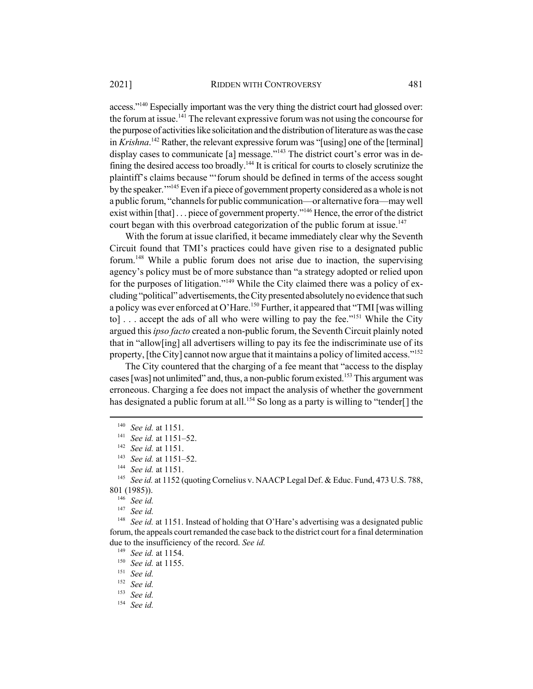access."<sup>140</sup> Especially important was the very thing the district court had glossed over: the forum at issue.<sup>141</sup> The relevant expressive forum was not using the concourse for the purpose of activities like solicitation and the distribution of literature as was the case in *Krishna*. 142 Rather, the relevant expressive forum was "[using] one of the [terminal] display cases to communicate [a] message."<sup>143</sup> The district court's error was in defining the desired access too broadly.<sup>144</sup> It is critical for courts to closely scrutinize the plaintiff's claims because "'forum should be defined in terms of the access sought by the speaker.<sup>'"145</sup> Even if a piece of government property considered as a whole is not a public forum, "channels for public communication—or alternative fora—may well exist within [that] . . . piece of government property."<sup>146</sup> Hence, the error of the district court began with this overbroad categorization of the public forum at issue.<sup>147</sup>

With the forum at issue clarified, it became immediately clear why the Seventh Circuit found that TMI's practices could have given rise to a designated public forum.148 While a public forum does not arise due to inaction, the supervising agency's policy must be of more substance than "a strategy adopted or relied upon for the purposes of litigation."<sup>149</sup> While the City claimed there was a policy of excluding "political" advertisements, the City presented absolutely no evidence that such a policy was ever enforced at O'Hare.<sup>150</sup> Further, it appeared that "TMI [was willing to] . . . accept the ads of all who were willing to pay the fee."<sup>151</sup> While the City argued this *ipso facto* created a non-public forum, the Seventh Circuit plainly noted that in "allow[ing] all advertisers willing to pay its fee the indiscriminate use of its property, [the City] cannot now argue that it maintains a policy of limited access."<sup>152</sup>

The City countered that the charging of a fee meant that "access to the display cases [was] not unlimited" and, thus, a non-public forum existed.<sup>153</sup> This argument was erroneous. Charging a fee does not impact the analysis of whether the government has designated a public forum at all.<sup>154</sup> So long as a party is willing to "tender[] the

<sup>148</sup> *See id.* at 1151. Instead of holding that O'Hare's advertising was a designated public forum, the appeals court remanded the case back to the district court for a final determination due to the insufficiency of the record. *See id.*

<sup>140</sup> *See id.* at 1151.

<sup>141</sup> *See id.* at 1151–52.

<sup>142</sup> *See id.* at 1151.

<sup>143</sup> *See id.* at 1151–52.

<sup>144</sup> *See id.* at 1151.

<sup>145</sup> *See id.* at 1152 (quoting Cornelius v. NAACP Legal Def. & Educ. Fund, 473 U.S. 788, 801 (1985)).

<sup>146</sup> *See id.*

<sup>147</sup> *See id.*

<sup>149</sup> *See id.* at 1154.

<sup>150</sup> *See id.* at 1155.

<sup>151</sup> *See id.*

<sup>152</sup> *See id.*

<sup>153</sup> *See id.*

<sup>154</sup> *See id.*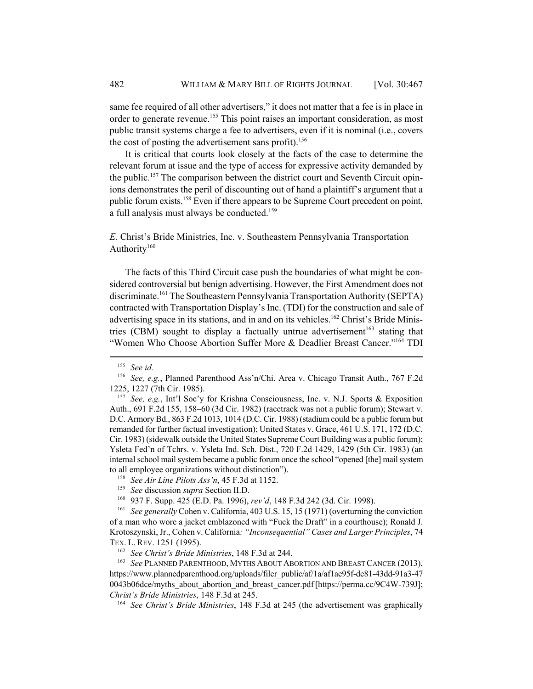same fee required of all other advertisers," it does not matter that a fee is in place in order to generate revenue.<sup>155</sup> This point raises an important consideration, as most public transit systems charge a fee to advertisers, even if it is nominal (i.e., covers the cost of posting the advertisement sans profit).<sup>156</sup>

It is critical that courts look closely at the facts of the case to determine the relevant forum at issue and the type of access for expressive activity demanded by the public.157 The comparison between the district court and Seventh Circuit opinions demonstrates the peril of discounting out of hand a plaintiff's argument that a public forum exists.<sup>158</sup> Even if there appears to be Supreme Court precedent on point, a full analysis must always be conducted.<sup>159</sup>

*E.* Christ's Bride Ministries, Inc. v. Southeastern Pennsylvania Transportation Authority<sup>160</sup>

The facts of this Third Circuit case push the boundaries of what might be considered controversial but benign advertising. However, the First Amendment does not discriminate.<sup>161</sup> The Southeastern Pennsylvania Transportation Authority (SEPTA) contracted with Transportation Display's Inc. (TDI) for the construction and sale of advertising space in its stations, and in and on its vehicles.<sup>162</sup> Christ's Bride Ministries (CBM) sought to display a factually untrue advertisement<sup>163</sup> stating that "Women Who Choose Abortion Suffer More & Deadlier Breast Cancer."164 TDI

<sup>155</sup> *See id.*

<sup>156</sup> *See, e.g.*, Planned Parenthood Ass'n/Chi. Area v. Chicago Transit Auth., 767 F.2d 1225, 1227 (7th Cir. 1985).

<sup>157</sup> *See, e.g.*, Int'l Soc'y for Krishna Consciousness, Inc. v. N.J. Sports & Exposition Auth., 691 F.2d 155, 158–60 (3d Cir. 1982) (racetrack was not a public forum); Stewart v. D.C. Armory Bd., 863 F.2d 1013, 1014 (D.C. Cir. 1988) (stadium could be a public forum but remanded for further factual investigation); United States v. Grace, 461 U.S. 171, 172 (D.C. Cir. 1983) (sidewalk outside the United States Supreme Court Building was a public forum); Ysleta Fed'n of Tchrs. v. Ysleta Ind. Sch. Dist., 720 F.2d 1429, 1429 (5th Cir. 1983) (an internal school mail system became a public forum once the school "opened [the] mail system to all employee organizations without distinction").

<sup>158</sup> *See Air Line Pilots Ass'n*, 45 F.3d at 1152.

<sup>159</sup> *See* discussion *supra* Section II.D.

<sup>160</sup> 937 F. Supp. 425 (E.D. Pa. 1996), *rev'd*, 148 F.3d 242 (3d. Cir. 1998).

<sup>&</sup>lt;sup>161</sup> *See generally* Cohen v. California, 403 U.S. 15, 15 (1971) (overturning the conviction of a man who wore a jacket emblazoned with "Fuck the Draft" in a courthouse); Ronald J. Krotoszynski, Jr., Cohen v. California*: "Inconsequential" Cases and Larger Principles*, 74 TEX. L. REV. 1251 (1995).

<sup>162</sup> *See Christ's Bride Ministries*, 148 F.3d at 244.

<sup>163</sup> *See* PLANNED PARENTHOOD, MYTHS ABOUT ABORTION AND BREAST CANCER (2013), https://www.plannedparenthood.org/uploads/filer\_public/af/1a/af1ae95f-de81-43dd-91a3-47 0043b06dce/myths\_about\_abortion\_and\_breast\_cancer.pdf [https://perma.cc/9C4W-739J]; *Christ's Bride Ministries*, 148 F.3d at 245.

<sup>164</sup> *See Christ's Bride Ministries*, 148 F.3d at 245 (the advertisement was graphically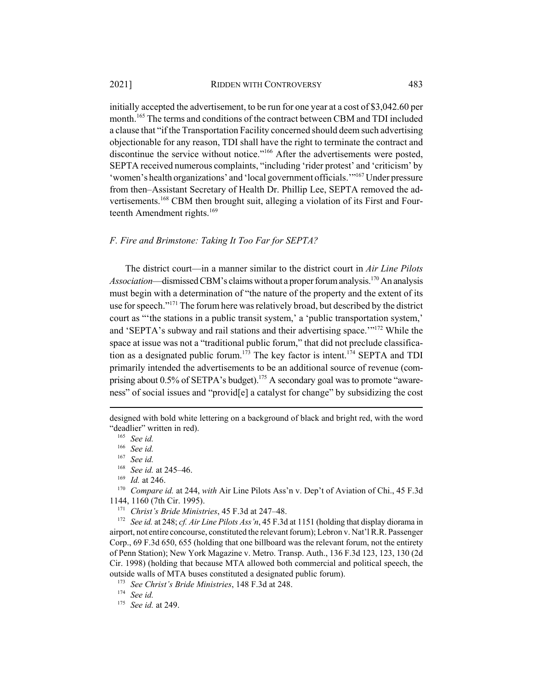initially accepted the advertisement, to be run for one year at a cost of \$3,042.60 per month.<sup>165</sup> The terms and conditions of the contract between CBM and TDI included a clause that "if the Transportation Facility concerned should deem such advertising objectionable for any reason, TDI shall have the right to terminate the contract and discontinue the service without notice."<sup>166</sup> After the advertisements were posted, SEPTA received numerous complaints, "including 'rider protest' and 'criticism' by 'women's health organizations' and 'local government officials.'"167 Under pressure from then–Assistant Secretary of Health Dr. Phillip Lee, SEPTA removed the advertisements.<sup>168</sup> CBM then brought suit, alleging a violation of its First and Fourteenth Amendment rights.<sup>169</sup>

## *F. Fire and Brimstone: Taking It Too Far for SEPTA?*

The district court—in a manner similar to the district court in *Air Line Pilots Association*—dismissed CBM's claims without a proper forum analysis.170 An analysis must begin with a determination of "the nature of the property and the extent of its use for speech."<sup>171</sup> The forum here was relatively broad, but described by the district court as "'the stations in a public transit system,' a 'public transportation system,' and 'SEPTA's subway and rail stations and their advertising space.'"172 While the space at issue was not a "traditional public forum," that did not preclude classification as a designated public forum.<sup>173</sup> The key factor is intent.<sup>174</sup> SEPTA and TDI primarily intended the advertisements to be an additional source of revenue (comprising about  $0.5\%$  of SETPA's budget).<sup>175</sup> A secondary goal was to promote "awareness" of social issues and "provid[e] a catalyst for change" by subsidizing the cost

designed with bold white lettering on a background of black and bright red, with the word "deadlier" written in red).

<sup>165</sup> *See id.*

<sup>166</sup> *See id.*

<sup>167</sup> *See id.*

<sup>168</sup> *See id.* at 245–46.

<sup>169</sup> *Id.* at 246.

<sup>170</sup> *Compare id.* at 244, *with* Air Line Pilots Ass'n v. Dep't of Aviation of Chi., 45 F.3d 1144, 1160 (7th Cir. 1995).

<sup>171</sup> *Christ's Bride Ministries*, 45 F.3d at 247–48.

<sup>172</sup> *See id.* at 248; *cf. Air Line Pilots Ass'n*, 45 F.3d at 1151 (holding that display diorama in airport, not entire concourse, constituted the relevant forum); Lebron v. Nat'l R.R. Passenger Corp., 69 F.3d 650, 655 (holding that one billboard was the relevant forum, not the entirety of Penn Station); New York Magazine v. Metro. Transp. Auth., 136 F.3d 123, 123, 130 (2d Cir. 1998) (holding that because MTA allowed both commercial and political speech, the outside walls of MTA buses constituted a designated public forum).

<sup>173</sup> *See Christ's Bride Ministries*, 148 F.3d at 248.

<sup>174</sup> *See id.*

<sup>175</sup> *See id.* at 249.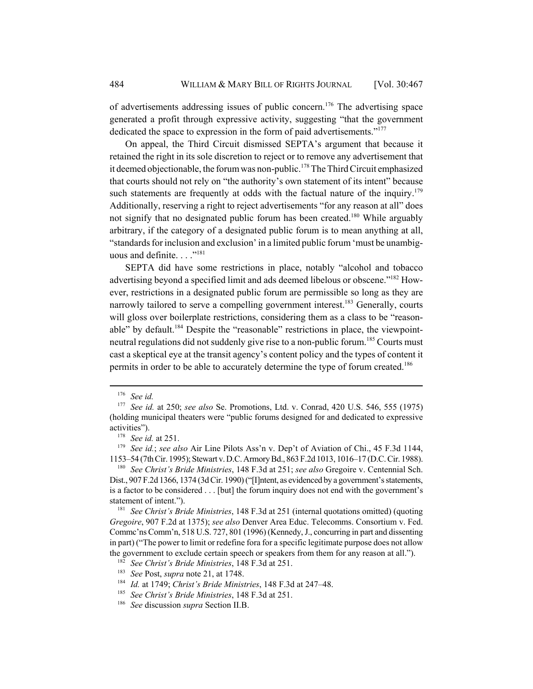of advertisements addressing issues of public concern.176 The advertising space generated a profit through expressive activity, suggesting "that the government dedicated the space to expression in the form of paid advertisements."<sup>177</sup>

On appeal, the Third Circuit dismissed SEPTA's argument that because it retained the right in its sole discretion to reject or to remove any advertisement that it deemed objectionable, the forum was non-public.<sup>178</sup> The Third Circuit emphasized that courts should not rely on "the authority's own statement of its intent" because such statements are frequently at odds with the factual nature of the inquiry.<sup>179</sup> Additionally, reserving a right to reject advertisements "for any reason at all" does not signify that no designated public forum has been created.<sup>180</sup> While arguably arbitrary, if the category of a designated public forum is to mean anything at all, "standards for inclusion and exclusion' in a limited public forum 'must be unambiguous and definite.  $\ldots$ <sup>"181</sup>

SEPTA did have some restrictions in place, notably "alcohol and tobacco advertising beyond a specified limit and ads deemed libelous or obscene."<sup>182</sup> However, restrictions in a designated public forum are permissible so long as they are narrowly tailored to serve a compelling government interest.<sup>183</sup> Generally, courts will gloss over boilerplate restrictions, considering them as a class to be "reasonable" by default.<sup>184</sup> Despite the "reasonable" restrictions in place, the viewpointneutral regulations did not suddenly give rise to a non-public forum.<sup>185</sup> Courts must cast a skeptical eye at the transit agency's content policy and the types of content it permits in order to be able to accurately determine the type of forum created.<sup>186</sup>

<sup>179</sup> *See id.*; *see also* Air Line Pilots Ass'n v. Dep't of Aviation of Chi., 45 F.3d 1144, 1153–54 (7th Cir. 1995); Stewart v. D.C. Armory Bd., 863 F.2d 1013, 1016–17 (D.C. Cir. 1988).

<sup>180</sup> *See Christ's Bride Ministries*, 148 F.3d at 251; *see also* Gregoire v. Centennial Sch. Dist., 907 F.2d 1366, 1374 (3d Cir. 1990) ("[I]ntent, as evidenced by a government's statements, is a factor to be considered . . . [but] the forum inquiry does not end with the government's statement of intent.").

<sup>181</sup> *See Christ's Bride Ministries*, 148 F.3d at 251 (internal quotations omitted) (quoting *Gregoire*, 907 F.2d at 1375); *see also* Denver Area Educ. Telecomms. Consortium v. Fed. Commc'ns Comm'n, 518 U.S. 727, 801 (1996) (Kennedy, J., concurring in part and dissenting in part) ("The power to limit or redefine fora for a specific legitimate purpose does not allow the government to exclude certain speech or speakers from them for any reason at all.").

<sup>176</sup> *See id.*

<sup>177</sup> *See id.* at 250; *see also* Se. Promotions, Ltd. v. Conrad, 420 U.S. 546, 555 (1975) (holding municipal theaters were "public forums designed for and dedicated to expressive activities").

<sup>178</sup> *See id.* at 251.

<sup>182</sup> *See Christ's Bride Ministries*, 148 F.3d at 251.

<sup>183</sup> *See* Post, *supra* note 21, at 1748.

<sup>184</sup> *Id.* at 1749; *Christ's Bride Ministries*, 148 F.3d at 247–48.

<sup>185</sup> *See Christ's Bride Ministries*, 148 F.3d at 251.

<sup>186</sup> *See* discussion *supra* Section II.B.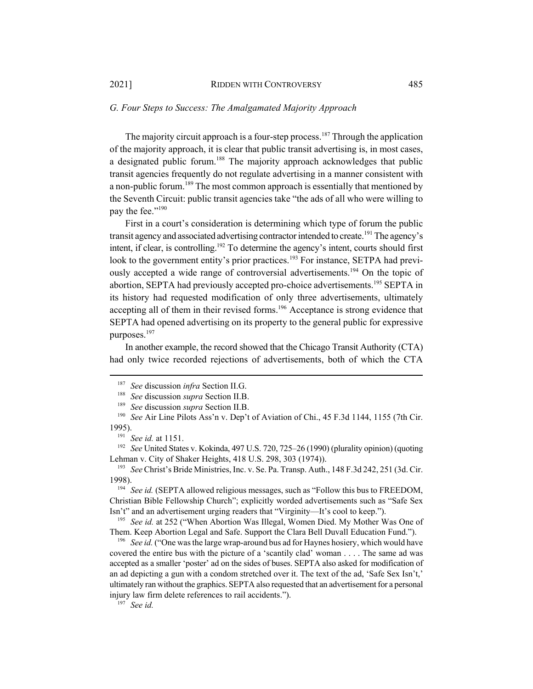## *G. Four Steps to Success: The Amalgamated Majority Approach*

The majority circuit approach is a four-step process.<sup>187</sup> Through the application of the majority approach, it is clear that public transit advertising is, in most cases, a designated public forum.<sup>188</sup> The majority approach acknowledges that public transit agencies frequently do not regulate advertising in a manner consistent with a non-public forum.<sup>189</sup> The most common approach is essentially that mentioned by the Seventh Circuit: public transit agencies take "the ads of all who were willing to pay the fee."<sup>190</sup>

First in a court's consideration is determining which type of forum the public transit agency and associated advertising contractor intended to create.<sup>191</sup> The agency's intent, if clear, is controlling.<sup>192</sup> To determine the agency's intent, courts should first look to the government entity's prior practices.<sup>193</sup> For instance, SETPA had previously accepted a wide range of controversial advertisements.<sup>194</sup> On the topic of abortion, SEPTA had previously accepted pro-choice advertisements.<sup>195</sup> SEPTA in its history had requested modification of only three advertisements, ultimately accepting all of them in their revised forms.<sup>196</sup> Acceptance is strong evidence that SEPTA had opened advertising on its property to the general public for expressive purposes.197

In another example, the record showed that the Chicago Transit Authority (CTA) had only twice recorded rejections of advertisements, both of which the CTA

<sup>192</sup> *See* United States v. Kokinda, 497 U.S. 720, 725–26 (1990) (plurality opinion) (quoting Lehman v. City of Shaker Heights, 418 U.S. 298, 303 (1974)).

<sup>193</sup> *See* Christ's Bride Ministries, Inc. v. Se. Pa. Transp. Auth., 148 F.3d 242, 251 (3d. Cir. 1998).

<sup>194</sup> *See id.* (SEPTA allowed religious messages, such as "Follow this bus to FREEDOM, Christian Bible Fellowship Church"; explicitly worded advertisements such as "Safe Sex Isn't" and an advertisement urging readers that "Virginity—It's cool to keep.").

<sup>195</sup> See id. at 252 ("When Abortion Was Illegal, Women Died. My Mother Was One of Them. Keep Abortion Legal and Safe. Support the Clara Bell Duvall Education Fund.").

<sup>196</sup> *See id.* ("One was the large wrap-around bus ad for Haynes hosiery, which would have covered the entire bus with the picture of a 'scantily clad' woman . . . . The same ad was accepted as a smaller 'poster' ad on the sides of buses. SEPTA also asked for modification of an ad depicting a gun with a condom stretched over it. The text of the ad, 'Safe Sex Isn't,' ultimately ran without the graphics. SEPTA also requested that an advertisement for a personal injury law firm delete references to rail accidents.").

<sup>197</sup> *See id.*

<sup>187</sup> *See* discussion *infra* Section II.G.

<sup>188</sup> *See* discussion *supra* Section II.B.

<sup>189</sup> *See* discussion *supra* Section II.B.

<sup>190</sup> *See* Air Line Pilots Ass'n v. Dep't of Aviation of Chi., 45 F.3d 1144, 1155 (7th Cir. 1995).

<sup>191</sup> *See id.* at 1151.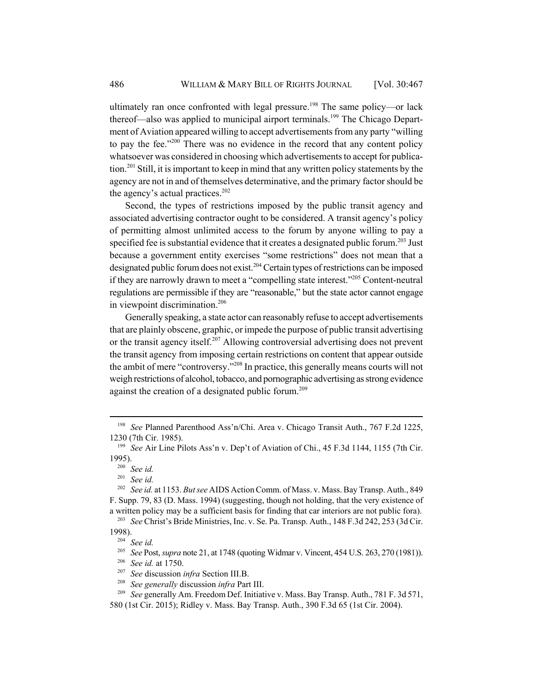ultimately ran once confronted with legal pressure.<sup>198</sup> The same policy—or lack thereof—also was applied to municipal airport terminals.<sup>199</sup> The Chicago Department of Aviation appeared willing to accept advertisements from any party "willing to pay the fee. $1200$  There was no evidence in the record that any content policy whatsoever was considered in choosing which advertisements to accept for publication.<sup>201</sup> Still, it is important to keep in mind that any written policy statements by the agency are not in and of themselves determinative, and the primary factor should be the agency's actual practices.<sup>202</sup>

Second, the types of restrictions imposed by the public transit agency and associated advertising contractor ought to be considered. A transit agency's policy of permitting almost unlimited access to the forum by anyone willing to pay a specified fee is substantial evidence that it creates a designated public forum.<sup>203</sup> Just because a government entity exercises "some restrictions" does not mean that a designated public forum does not exist.<sup>204</sup> Certain types of restrictions can be imposed if they are narrowly drawn to meet a "compelling state interest."205 Content-neutral regulations are permissible if they are "reasonable," but the state actor cannot engage in viewpoint discrimination.<sup>206</sup>

Generally speaking, a state actor can reasonably refuse to accept advertisements that are plainly obscene, graphic, or impede the purpose of public transit advertising or the transit agency itself.<sup>207</sup> Allowing controversial advertising does not prevent the transit agency from imposing certain restrictions on content that appear outside the ambit of mere "controversy."208 In practice, this generally means courts will not weigh restrictions of alcohol, tobacco, and pornographic advertising as strong evidence against the creation of a designated public forum.<sup>209</sup>

<sup>198</sup> *See* Planned Parenthood Ass'n/Chi. Area v. Chicago Transit Auth., 767 F.2d 1225, 1230 (7th Cir. 1985).

<sup>199</sup> *See* Air Line Pilots Ass'n v. Dep't of Aviation of Chi., 45 F.3d 1144, 1155 (7th Cir. 1995).

 $\frac{200}{201}$  See id.

See id.

<sup>202</sup> *See id.* at 1153. *But see* AIDS Action Comm. of Mass. v. Mass. Bay Transp. Auth., 849 F. Supp. 79, 83 (D. Mass. 1994) (suggesting, though not holding, that the very existence of a written policy may be a sufficient basis for finding that car interiors are not public fora).

<sup>203</sup> *See* Christ's Bride Ministries, Inc. v. Se. Pa. Transp. Auth., 148 F.3d 242, 253 (3d Cir. 1998).

 $\frac{204}{205}$  *See id.* 

<sup>205</sup> *See* Post, *supra* note 21, at 1748 (quoting Widmar v. Vincent, 454 U.S. 263, 270 (1981)).

<sup>206</sup> *See id.* at 1750.

<sup>207</sup> *See* discussion *infra* Section III.B.

<sup>208</sup> *See generally* discussion *infra* Part III.

<sup>209</sup> *See* generally Am. Freedom Def. Initiative v. Mass. Bay Transp. Auth., 781 F. 3d 571, 580 (1st Cir. 2015); Ridley v. Mass. Bay Transp. Auth., 390 F.3d 65 (1st Cir. 2004).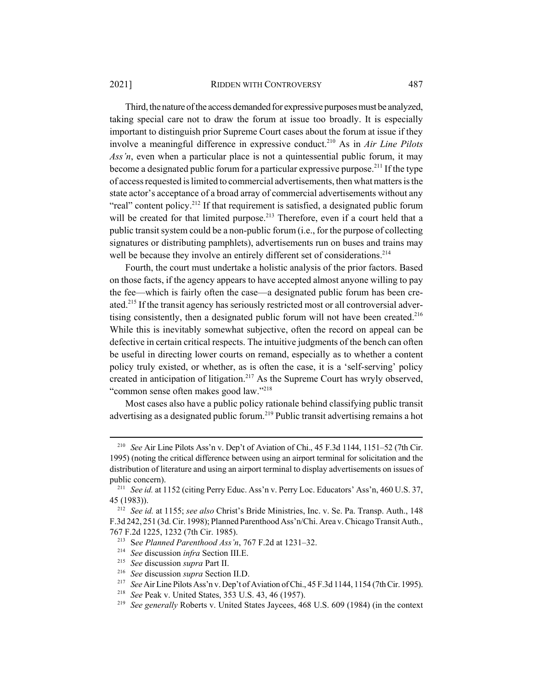#### 2021] RIDDEN WITH CONTROVERSY 487

Third, the nature of the access demanded for expressive purposes must be analyzed, taking special care not to draw the forum at issue too broadly. It is especially important to distinguish prior Supreme Court cases about the forum at issue if they involve a meaningful difference in expressive conduct.210 As in *Air Line Pilots Ass'n*, even when a particular place is not a quintessential public forum, it may become a designated public forum for a particular expressive purpose.<sup>211</sup> If the type of access requested is limited to commercial advertisements, then what matters is the state actor's acceptance of a broad array of commercial advertisements without any "real" content policy.<sup>212</sup> If that requirement is satisfied, a designated public forum will be created for that limited purpose.<sup>213</sup> Therefore, even if a court held that a public transit system could be a non-public forum (i.e., for the purpose of collecting signatures or distributing pamphlets), advertisements run on buses and trains may well be because they involve an entirely different set of considerations.<sup>214</sup>

Fourth, the court must undertake a holistic analysis of the prior factors. Based on those facts, if the agency appears to have accepted almost anyone willing to pay the fee—which is fairly often the case—a designated public forum has been created.<sup>215</sup> If the transit agency has seriously restricted most or all controversial advertising consistently, then a designated public forum will not have been created.<sup>216</sup> While this is inevitably somewhat subjective, often the record on appeal can be defective in certain critical respects. The intuitive judgments of the bench can often be useful in directing lower courts on remand, especially as to whether a content policy truly existed, or whether, as is often the case, it is a 'self-serving' policy created in anticipation of litigation.217 As the Supreme Court has wryly observed, "common sense often makes good law."218

Most cases also have a public policy rationale behind classifying public transit advertising as a designated public forum.<sup>219</sup> Public transit advertising remains a hot

<sup>210</sup> *See* Air Line Pilots Ass'n v. Dep't of Aviation of Chi., 45 F.3d 1144, 1151–52 (7th Cir. 1995) (noting the critical difference between using an airport terminal for solicitation and the distribution of literature and using an airport terminal to display advertisements on issues of public concern).

<sup>211</sup> *See id.* at 1152 (citing Perry Educ. Ass'n v. Perry Loc. Educators' Ass'n, 460 U.S. 37, 45 (1983)).

<sup>212</sup> *See id.* at 1155; *see also* Christ's Bride Ministries, Inc. v. Se. Pa. Transp. Auth., 148 F.3d 242, 251 (3d. Cir. 1998); Planned Parenthood Ass'n/Chi. Area v. Chicago Transit Auth., 767 F.2d 1225, 1232 (7th Cir. 1985).

<sup>213</sup> S*ee Planned Parenthood Ass'n*, 767 F.2d at 1231–32.

<sup>214</sup> *See* discussion *infra* Section III.E.

<sup>215</sup> *See* discussion *supra* Part II.

<sup>216</sup> *See* discussion *supra* Section II.D.

<sup>217</sup> *See* Air Line Pilots Ass'n v. Dep't of Aviation of Chi., 45 F.3d 1144, 1154 (7th Cir. 1995).

<sup>218</sup> *See* Peak v. United States, 353 U.S. 43, 46 (1957).

<sup>219</sup> *See generally* Roberts v. United States Jaycees, 468 U.S. 609 (1984) (in the context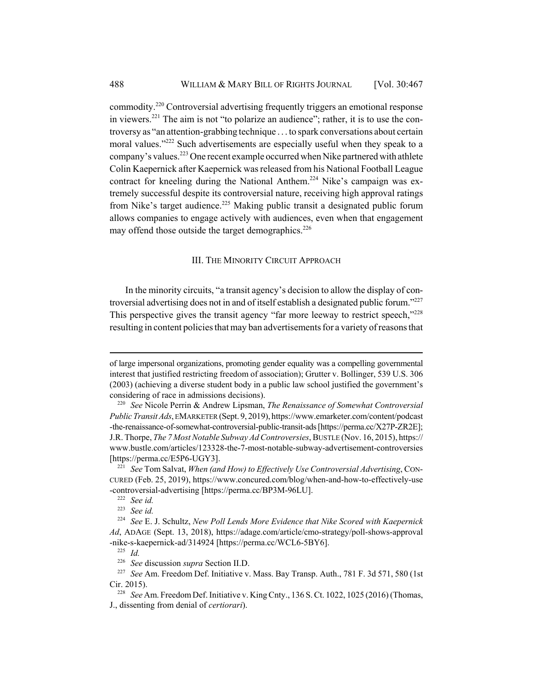commodity.220 Controversial advertising frequently triggers an emotional response in viewers.<sup>221</sup> The aim is not "to polarize an audience"; rather, it is to use the controversy as "an attention-grabbing technique . . . to spark conversations about certain moral values."<sup>222</sup> Such advertisements are especially useful when they speak to a company's values.223 One recent example occurred when Nike partnered with athlete Colin Kaepernick after Kaepernick was released from his National Football League contract for kneeling during the National Anthem.<sup>224</sup> Nike's campaign was extremely successful despite its controversial nature, receiving high approval ratings from Nike's target audience.<sup>225</sup> Making public transit a designated public forum allows companies to engage actively with audiences, even when that engagement may offend those outside the target demographics. $226$ 

## III. THE MINORITY CIRCUIT APPROACH

In the minority circuits, "a transit agency's decision to allow the display of controversial advertising does not in and of itself establish a designated public forum."<sup>227</sup> This perspective gives the transit agency "far more leeway to restrict speech,"228 resulting in content policies that may ban advertisements for a variety of reasons that

of large impersonal organizations, promoting gender equality was a compelling governmental interest that justified restricting freedom of association); Grutter v. Bollinger, 539 U.S. 306 (2003) (achieving a diverse student body in a public law school justified the government's considering of race in admissions decisions).

<sup>220</sup> *See* Nicole Perrin & Andrew Lipsman, *The Renaissance of Somewhat Controversial Public Transit Ads*, EMARKETER (Sept. 9, 2019), https://www.emarketer.com/content/podcast -the-renaissance-of-somewhat-controversial-public-transit-ads [https://perma.cc/X27P-ZR2E]; J.R. Thorpe, *The 7 Most Notable Subway Ad Controversies*, BUSTLE (Nov. 16, 2015), https:// www.bustle.com/articles/123328-the-7-most-notable-subway-advertisement-controversies [https://perma.cc/E5P6-UGY3].

<sup>221</sup> *See* Tom Salvat, *When (and How) to Effectively Use Controversial Advertising*, CON-CURED (Feb. 25, 2019), https://www.concured.com/blog/when-and-how-to-effectively-use -controversial-advertising [https://perma.cc/BP3M-96LU].

<sup>222</sup> *See id.*

<sup>223</sup> *See id.*

<sup>224</sup> *See* E. J. Schultz, *New Poll Lends More Evidence that Nike Scored with Kaepernick Ad*, ADAGE (Sept. 13, 2018), https://adage.com/article/cmo-strategy/poll-shows-approval -nike-s-kaepernick-ad/314924 [https://perma.cc/WCL6-5BY6].

<sup>225</sup> *Id.*

<sup>226</sup> *See* discussion *supra* Section II.D.

<sup>227</sup> *See* Am. Freedom Def. Initiative v. Mass. Bay Transp. Auth., 781 F. 3d 571, 580 (1st Cir. 2015).

<sup>228</sup> *See* Am. Freedom Def. Initiative v. King Cnty., 136 S. Ct. 1022, 1025 (2016) (Thomas, J., dissenting from denial of *certiorari*).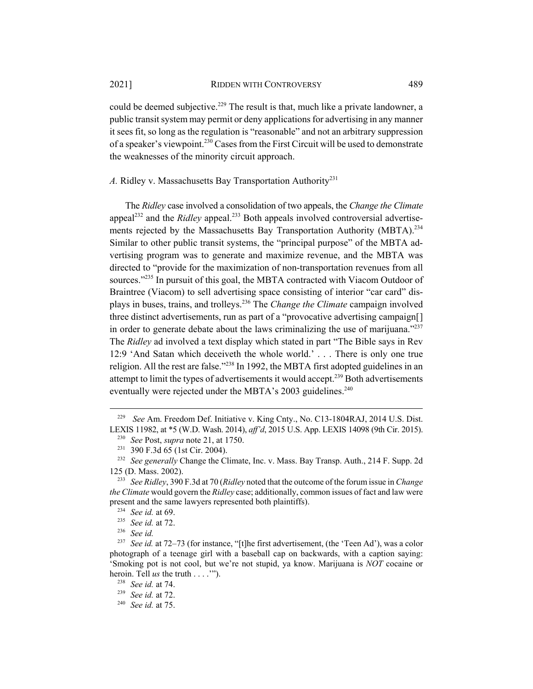could be deemed subjective.<sup>229</sup> The result is that, much like a private landowner, a public transit system may permit or deny applications for advertising in any manner it sees fit, so long as the regulation is "reasonable" and not an arbitrary suppression of a speaker's viewpoint.<sup>230</sup> Cases from the First Circuit will be used to demonstrate the weaknesses of the minority circuit approach.

A. Ridley v. Massachusetts Bay Transportation Authority<sup>231</sup>

The *Ridley* case involved a consolidation of two appeals, the *Change the Climate* appeal<sup>232</sup> and the *Ridley* appeal.<sup>233</sup> Both appeals involved controversial advertisements rejected by the Massachusetts Bay Transportation Authority (MBTA).<sup>234</sup> Similar to other public transit systems, the "principal purpose" of the MBTA advertising program was to generate and maximize revenue, and the MBTA was directed to "provide for the maximization of non-transportation revenues from all sources."<sup>235</sup> In pursuit of this goal, the MBTA contracted with Viacom Outdoor of Braintree (Viacom) to sell advertising space consisting of interior "car card" displays in buses, trains, and trolleys.236 The *Change the Climate* campaign involved three distinct advertisements, run as part of a "provocative advertising campaign[] in order to generate debate about the laws criminalizing the use of marijuana. $1237$ The *Ridley* ad involved a text display which stated in part "The Bible says in Rev 12:9 'And Satan which deceiveth the whole world.' . . . There is only one true religion. All the rest are false."<sup>238</sup> In 1992, the MBTA first adopted guidelines in an attempt to limit the types of advertisements it would accept.<sup>239</sup> Both advertisements eventually were rejected under the MBTA's  $2003$  guidelines.<sup>240</sup>

<sup>229</sup> *See* Am. Freedom Def. Initiative v. King Cnty., No. C13-1804RAJ, 2014 U.S. Dist. LEXIS 11982, at \*5 (W.D. Wash. 2014), *aff'd*, 2015 U.S. App. LEXIS 14098 (9th Cir. 2015).

<sup>230</sup> *See* Post, *supra* note 21, at 1750.

<sup>231</sup> 390 F.3d 65 (1st Cir. 2004).

<sup>232</sup> *See generally* Change the Climate, Inc. v. Mass. Bay Transp. Auth., 214 F. Supp. 2d 125 (D. Mass. 2002).

<sup>233</sup> *See Ridley*, 390 F.3d at 70 (*Ridley* noted that the outcome of the forum issue in *Change the Climate* would govern the *Ridley* case; additionally, common issues of fact and law were present and the same lawyers represented both plaintiffs).

<sup>234</sup> *See id.* at 69.

<sup>235</sup> *See id.* at 72.

<sup>236</sup> *See id.*

<sup>237</sup> *See id.* at 72–73 (for instance, "[t]he first advertisement, (the 'Teen Ad'), was a color photograph of a teenage girl with a baseball cap on backwards, with a caption saying: 'Smoking pot is not cool, but we're not stupid, ya know. Marijuana is *NOT* cocaine or heroin. Tell *us* the truth . . . .'").

<sup>238</sup> *See id.* at 74.

<sup>239</sup> *See id.* at 72.

<sup>240</sup> *See id.* at 75.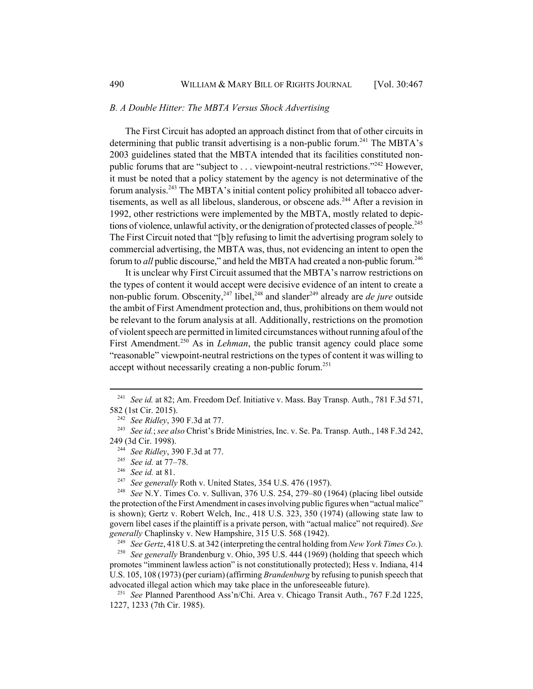### *B. A Double Hitter: The MBTA Versus Shock Advertising*

The First Circuit has adopted an approach distinct from that of other circuits in determining that public transit advertising is a non-public forum.<sup>241</sup> The MBTA's 2003 guidelines stated that the MBTA intended that its facilities constituted nonpublic forums that are "subject to . . . viewpoint-neutral restrictions."<sup>242</sup> However, it must be noted that a policy statement by the agency is not determinative of the forum analysis.243 The MBTA's initial content policy prohibited all tobacco advertisements, as well as all libelous, slanderous, or obscene ads.<sup>244</sup> After a revision in 1992, other restrictions were implemented by the MBTA, mostly related to depictions of violence, unlawful activity, or the denigration of protected classes of people.<sup>245</sup> The First Circuit noted that "[b]y refusing to limit the advertising program solely to commercial advertising, the MBTA was, thus, not evidencing an intent to open the forum to *all* public discourse," and held the MBTA had created a non-public forum.<sup>246</sup>

It is unclear why First Circuit assumed that the MBTA's narrow restrictions on the types of content it would accept were decisive evidence of an intent to create a non-public forum. Obscenity,<sup>247</sup> libel,<sup>248</sup> and slander<sup>249</sup> already are *de jure* outside the ambit of First Amendment protection and, thus, prohibitions on them would not be relevant to the forum analysis at all. Additionally, restrictions on the promotion of violent speech are permitted in limited circumstances without running afoul of the First Amendment.<sup>250</sup> As in *Lehman*, the public transit agency could place some "reasonable" viewpoint-neutral restrictions on the types of content it was willing to accept without necessarily creating a non-public forum.<sup>251</sup>

<sup>246</sup> *See id.* at 81.

<sup>&</sup>lt;sup>241</sup> *See id.* at 82; Am. Freedom Def. Initiative v. Mass. Bay Transp. Auth., 781 F.3d 571, 582 (1st Cir. 2015).

<sup>242</sup> *See Ridley*, 390 F.3d at 77.

<sup>243</sup> *See id.*; *see also* Christ's Bride Ministries, Inc. v. Se. Pa. Transp. Auth., 148 F.3d 242, 249 (3d Cir. 1998).

<sup>244</sup> *See Ridley*, 390 F.3d at 77.

<sup>245</sup> *See id.* at 77–78.

See generally Roth v. United States, 354 U.S. 476 (1957).

<sup>248</sup> *See* N.Y. Times Co. v. Sullivan, 376 U.S. 254, 279–80 (1964) (placing libel outside the protection of the First Amendment in cases involving public figures when "actual malice" is shown); Gertz v. Robert Welch, Inc., 418 U.S. 323, 350 (1974) (allowing state law to govern libel cases if the plaintiff is a private person, with "actual malice" not required). *See generally* Chaplinsky v. New Hampshire, 315 U.S. 568 (1942).

<sup>249</sup> *See Gertz*, 418 U.S. at 342 (interpreting the central holding from *New York Times Co.*).

<sup>250</sup> *See generally* Brandenburg v. Ohio, 395 U.S. 444 (1969) (holding that speech which promotes "imminent lawless action" is not constitutionally protected); Hess v. Indiana, 414 U.S. 105, 108 (1973) (per curiam) (affirming *Brandenburg* by refusing to punish speech that advocated illegal action which may take place in the unforeseeable future).

<sup>251</sup> *See* Planned Parenthood Ass'n/Chi. Area v. Chicago Transit Auth., 767 F.2d 1225, 1227, 1233 (7th Cir. 1985).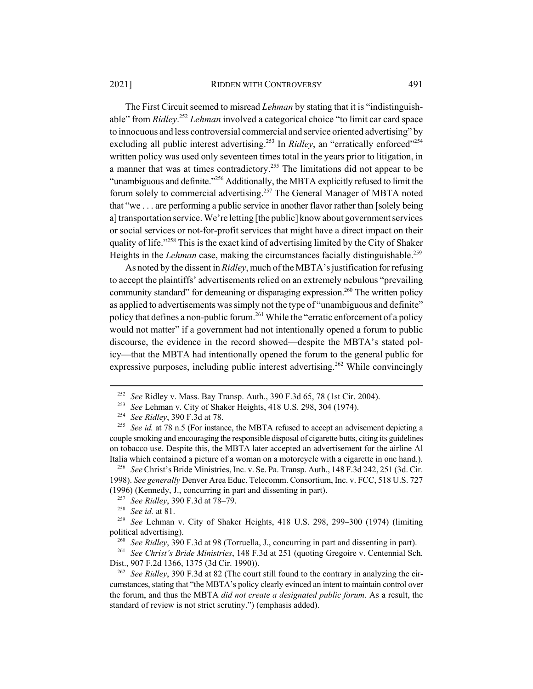#### 2021] RIDDEN WITH CONTROVERSY 491

The First Circuit seemed to misread *Lehman* by stating that it is "indistinguishable" from *Ridley*. <sup>252</sup> *Lehman* involved a categorical choice "to limit car card space to innocuous and less controversial commercial and service oriented advertising" by excluding all public interest advertising.<sup>253</sup> In *Ridley*, an "erratically enforced"<sup>254</sup> written policy was used only seventeen times total in the years prior to litigation, in a manner that was at times contradictory.<sup>255</sup> The limitations did not appear to be "unambiguous and definite."256 Additionally, the MBTA explicitly refused to limit the forum solely to commercial advertising.257 The General Manager of MBTA noted that "we . . . are performing a public service in another flavor rather than [solely being a] transportation service. We're letting [the public] know about government services or social services or not-for-profit services that might have a direct impact on their quality of life."<sup>258</sup> This is the exact kind of advertising limited by the City of Shaker Heights in the *Lehman* case, making the circumstances facially distinguishable.<sup>259</sup>

As noted by the dissent in *Ridley*, much of the MBTA's justification for refusing to accept the plaintiffs' advertisements relied on an extremely nebulous "prevailing community standard" for demeaning or disparaging expression.<sup>260</sup> The written policy as applied to advertisements was simply not the type of "unambiguous and definite" policy that defines a non-public forum.<sup>261</sup> While the "erratic enforcement of a policy would not matter" if a government had not intentionally opened a forum to public discourse, the evidence in the record showed—despite the MBTA's stated policy—that the MBTA had intentionally opened the forum to the general public for expressive purposes, including public interest advertising.<sup>262</sup> While convincingly

<sup>252</sup> *See* Ridley v. Mass. Bay Transp. Auth., 390 F.3d 65, 78 (1st Cir. 2004).

<sup>253</sup> *See* Lehman v. City of Shaker Heights, 418 U.S. 298, 304 (1974).

<sup>254</sup> *See Ridley*, 390 F.3d at 78.

<sup>&</sup>lt;sup>255</sup> *See id.* at 78 n.5 (For instance, the MBTA refused to accept an advisement depicting a couple smoking and encouraging the responsible disposal of cigarette butts, citing its guidelines on tobacco use. Despite this, the MBTA later accepted an advertisement for the airline Al Italia which contained a picture of a woman on a motorcycle with a cigarette in one hand.).

<sup>256</sup> *See* Christ's Bride Ministries, Inc. v. Se. Pa. Transp. Auth., 148 F.3d 242, 251 (3d. Cir. 1998). *See generally* Denver Area Educ. Telecomm. Consortium, Inc. v. FCC, 518 U.S. 727 (1996) (Kennedy, J., concurring in part and dissenting in part).

<sup>257</sup> *See Ridley*, 390 F.3d at 78–79.

<sup>258</sup> *See id.* at 81.

<sup>259</sup> *See* Lehman v. City of Shaker Heights, 418 U.S. 298, 299–300 (1974) (limiting political advertising).

<sup>260</sup> *See Ridley*, 390 F.3d at 98 (Torruella, J., concurring in part and dissenting in part).

<sup>261</sup> *See Christ's Bride Ministries*, 148 F.3d at 251 (quoting Gregoire v. Centennial Sch. Dist., 907 F.2d 1366, 1375 (3d Cir. 1990)).

<sup>262</sup> *See Ridley*, 390 F.3d at 82 (The court still found to the contrary in analyzing the circumstances, stating that "the MBTA's policy clearly evinced an intent to maintain control over the forum, and thus the MBTA *did not create a designated public forum*. As a result, the standard of review is not strict scrutiny.") (emphasis added).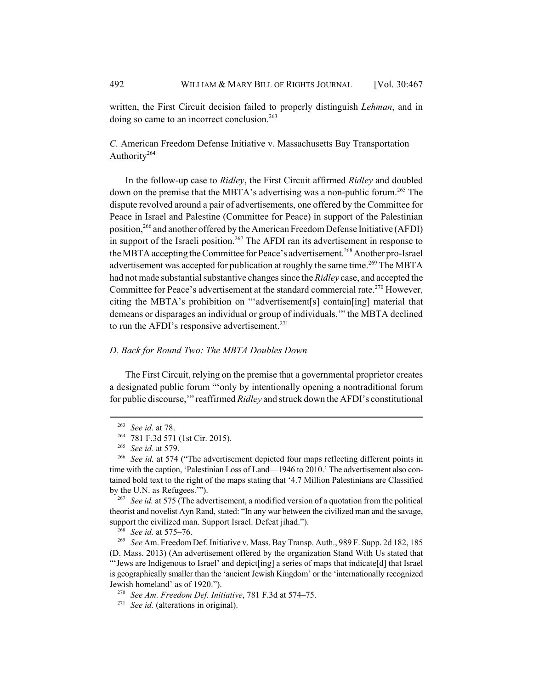written, the First Circuit decision failed to properly distinguish *Lehman*, and in doing so came to an incorrect conclusion.<sup>263</sup>

*C.* American Freedom Defense Initiative v. Massachusetts Bay Transportation Authority<sup>264</sup>

In the follow-up case to *Ridley*, the First Circuit affirmed *Ridley* and doubled down on the premise that the MBTA's advertising was a non-public forum.<sup>265</sup> The dispute revolved around a pair of advertisements, one offered by the Committee for Peace in Israel and Palestine (Committee for Peace) in support of the Palestinian position,266 and another offered by the American Freedom Defense Initiative (AFDI) in support of the Israeli position.<sup>267</sup> The AFDI ran its advertisement in response to the MBTA accepting the Committee for Peace's advertisement.<sup>268</sup> Another pro-Israel advertisement was accepted for publication at roughly the same time.<sup>269</sup> The MBTA had not made substantial substantive changes since the *Ridley* case, and accepted the Committee for Peace's advertisement at the standard commercial rate.<sup>270</sup> However, citing the MBTA's prohibition on "'advertisement[s] contain[ing] material that demeans or disparages an individual or group of individuals,'" the MBTA declined to run the AFDI's responsive advertisement. $271$ 

## *D. Back for Round Two: The MBTA Doubles Down*

The First Circuit, relying on the premise that a governmental proprietor creates a designated public forum "'only by intentionally opening a nontraditional forum for public discourse,'" reaffirmed *Ridley* and struck down the AFDI's constitutional

<sup>263</sup> *See id.* at 78.

<sup>264</sup> 781 F.3d 571 (1st Cir. 2015).

<sup>265</sup> *See id.* at 579.

<sup>&</sup>lt;sup>266</sup> See id. at 574 ("The advertisement depicted four maps reflecting different points in time with the caption, 'Palestinian Loss of Land—1946 to 2010.' The advertisement also contained bold text to the right of the maps stating that '4.7 Million Palestinians are Classified by the U.N. as Refugees.'").

<sup>267</sup> *See id.* at 575 (The advertisement, a modified version of a quotation from the political theorist and novelist Ayn Rand, stated: "In any war between the civilized man and the savage, support the civilized man. Support Israel. Defeat jihad.").

<sup>268</sup> *See id.* at 575–76.

<sup>269</sup> *See* Am. Freedom Def. Initiative v. Mass. Bay Transp. Auth., 989 F. Supp. 2d 182, 185 (D. Mass. 2013) (An advertisement offered by the organization Stand With Us stated that "'Jews are Indigenous to Israel' and depict[ing] a series of maps that indicate[d] that Israel is geographically smaller than the 'ancient Jewish Kingdom' or the 'internationally recognized Jewish homeland' as of 1920.").

<sup>270</sup> *See Am. Freedom Def. Initiative*, 781 F.3d at 574–75.

<sup>271</sup> *See id.* (alterations in original).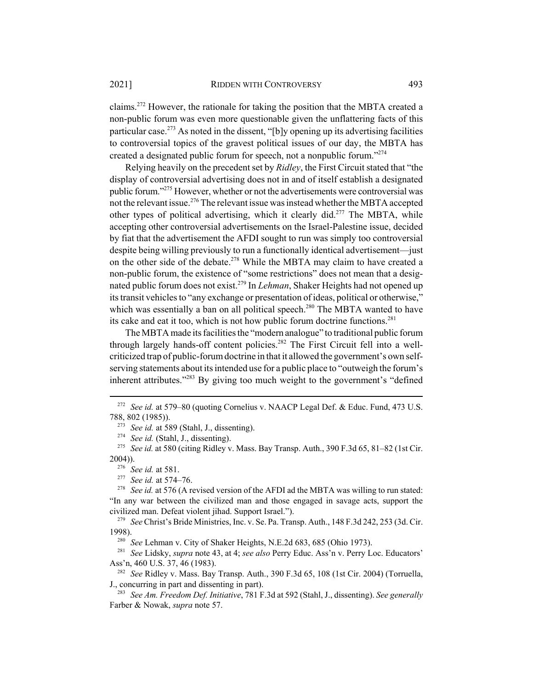claims.272 However, the rationale for taking the position that the MBTA created a non-public forum was even more questionable given the unflattering facts of this particular case.<sup>273</sup> As noted in the dissent, "[b]y opening up its advertising facilities to controversial topics of the gravest political issues of our day, the MBTA has created a designated public forum for speech, not a nonpublic forum."274

Relying heavily on the precedent set by *Ridley*, the First Circuit stated that "the display of controversial advertising does not in and of itself establish a designated public forum."275 However, whether or not the advertisements were controversial was not the relevant issue.<sup>276</sup> The relevant issue was instead whether the MBTA accepted other types of political advertising, which it clearly did.<sup>277</sup> The MBTA, while accepting other controversial advertisements on the Israel-Palestine issue, decided by fiat that the advertisement the AFDI sought to run was simply too controversial despite being willing previously to run a functionally identical advertisement—just on the other side of the debate.<sup>278</sup> While the MBTA may claim to have created a non-public forum, the existence of "some restrictions" does not mean that a designated public forum does not exist.<sup>279</sup> In *Lehman*, Shaker Heights had not opened up its transit vehicles to "any exchange or presentation of ideas, political or otherwise," which was essentially a ban on all political speech.<sup>280</sup> The MBTA wanted to have its cake and eat it too, which is not how public forum doctrine functions.<sup>281</sup>

The MBTA made its facilities the "modern analogue" to traditional public forum through largely hands-off content policies.<sup>282</sup> The First Circuit fell into a wellcriticized trap of public-forum doctrine in that it allowed the government's own selfserving statements about its intended use for a public place to "outweigh the forum's inherent attributes."<sup>283</sup> By giving too much weight to the government's "defined

<sup>279</sup> *See* Christ's Bride Ministries, Inc. v. Se. Pa. Transp. Auth., 148 F.3d 242, 253 (3d. Cir. 1998).

<sup>280</sup> *See Lehman v. City of Shaker Heights, N.E.2d 683, 685 (Ohio 1973).* 

<sup>281</sup> *See* Lidsky, *supra* note 43, at 4; *see also* Perry Educ. Ass'n v. Perry Loc. Educators' Ass'n, 460 U.S. 37, 46 (1983).

<sup>282</sup> *See* Ridley v. Mass. Bay Transp. Auth., 390 F.3d 65, 108 (1st Cir. 2004) (Torruella, J., concurring in part and dissenting in part).

<sup>283</sup> *See Am. Freedom Def. Initiative*, 781 F.3d at 592 (Stahl, J., dissenting). *See generally* Farber & Nowak, *supra* note 57.

<sup>272</sup> *See id.* at 579–80 (quoting Cornelius v. NAACP Legal Def. & Educ. Fund, 473 U.S. 788, 802 (1985)).

<sup>273</sup> *See id.* at 589 (Stahl, J., dissenting).

<sup>274</sup> *See id.* (Stahl, J., dissenting).

<sup>275</sup> *See id.* at 580 (citing Ridley v. Mass. Bay Transp. Auth., 390 F.3d 65, 81–82 (1st Cir. 2004)).

<sup>276</sup> *See id.* at 581.

<sup>277</sup> *See id.* at 574–76.

<sup>&</sup>lt;sup>278</sup> *See id.* at 576 (A revised version of the AFDI ad the MBTA was willing to run stated: "In any war between the civilized man and those engaged in savage acts, support the civilized man. Defeat violent jihad. Support Israel.").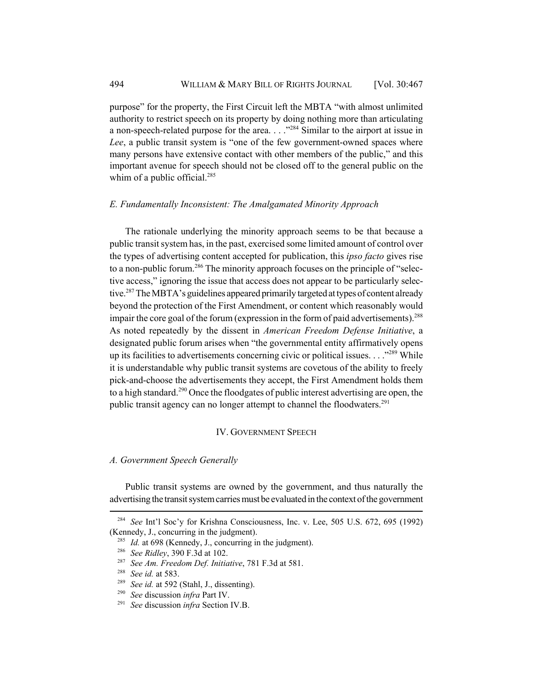purpose" for the property, the First Circuit left the MBTA "with almost unlimited authority to restrict speech on its property by doing nothing more than articulating a non-speech-related purpose for the area.  $\ldots$ <sup>284</sup> Similar to the airport at issue in *Lee*, a public transit system is "one of the few government-owned spaces where many persons have extensive contact with other members of the public," and this important avenue for speech should not be closed off to the general public on the whim of a public official. $285$ 

## *E. Fundamentally Inconsistent: The Amalgamated Minority Approach*

The rationale underlying the minority approach seems to be that because a public transit system has, in the past, exercised some limited amount of control over the types of advertising content accepted for publication, this *ipso facto* gives rise to a non-public forum.<sup>286</sup> The minority approach focuses on the principle of "selective access," ignoring the issue that access does not appear to be particularly selective.<sup>287</sup> The MBTA's guidelines appeared primarily targeted at types of content already beyond the protection of the First Amendment, or content which reasonably would impair the core goal of the forum (expression in the form of paid advertisements).<sup>288</sup> As noted repeatedly by the dissent in *American Freedom Defense Initiative*, a designated public forum arises when "the governmental entity affirmatively opens up its facilities to advertisements concerning civic or political issues.  $\ldots$ <sup>289</sup> While it is understandable why public transit systems are covetous of the ability to freely pick-and-choose the advertisements they accept, the First Amendment holds them to a high standard.<sup>290</sup> Once the floodgates of public interest advertising are open, the public transit agency can no longer attempt to channel the floodwaters.<sup>291</sup>

## IV. GOVERNMENT SPEECH

## *A. Government Speech Generally*

Public transit systems are owned by the government, and thus naturally the advertising the transit system carries must be evaluated in the context of the government

<sup>284</sup> *See* Int'l Soc'y for Krishna Consciousness, Inc. v. Lee, 505 U.S. 672, 695 (1992) (Kennedy, J., concurring in the judgment).

<sup>&</sup>lt;sup>285</sup> *Id.* at 698 (Kennedy, J., concurring in the judgment).

<sup>286</sup> *See Ridley*, 390 F.3d at 102.

<sup>287</sup> *See Am. Freedom Def. Initiative*, 781 F.3d at 581.

<sup>288</sup> *See id.* at 583.

<sup>&</sup>lt;sup>289</sup> *See id.* at 592 (Stahl, J., dissenting).

<sup>290</sup> *See* discussion *infra* Part IV.

<sup>291</sup> *See* discussion *infra* Section IV.B.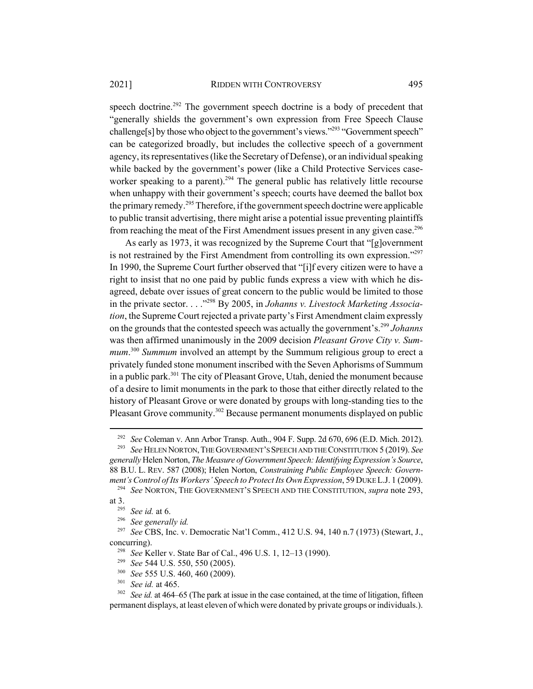speech doctrine.<sup>292</sup> The government speech doctrine is a body of precedent that "generally shields the government's own expression from Free Speech Clause challenge[s] by those who object to the government's views."293 "Government speech" can be categorized broadly, but includes the collective speech of a government agency, its representatives (like the Secretary of Defense), or an individual speaking while backed by the government's power (like a Child Protective Services caseworker speaking to a parent).<sup>294</sup> The general public has relatively little recourse when unhappy with their government's speech; courts have deemed the ballot box the primary remedy.<sup>295</sup> Therefore, if the government speech doctrine were applicable to public transit advertising, there might arise a potential issue preventing plaintiffs from reaching the meat of the First Amendment issues present in any given case.<sup>296</sup>

As early as 1973, it was recognized by the Supreme Court that "[g]overnment is not restrained by the First Amendment from controlling its own expression.<sup> $297$ </sup> In 1990, the Supreme Court further observed that "[i]f every citizen were to have a right to insist that no one paid by public funds express a view with which he disagreed, debate over issues of great concern to the public would be limited to those in the private sector. . . ."298 By 2005, in *Johanns v. Livestock Marketing Association*, the Supreme Court rejected a private party's First Amendment claim expressly on the grounds that the contested speech was actually the government's.299 *Johanns* was then affirmed unanimously in the 2009 decision *Pleasant Grove City v. Summum*. <sup>300</sup> *Summum* involved an attempt by the Summum religious group to erect a privately funded stone monument inscribed with the Seven Aphorisms of Summum in a public park.<sup>301</sup> The city of Pleasant Grove, Utah, denied the monument because of a desire to limit monuments in the park to those that either directly related to the history of Pleasant Grove or were donated by groups with long-standing ties to the Pleasant Grove community.<sup>302</sup> Because permanent monuments displayed on public

<sup>294</sup> *See* NORTON, THE GOVERNMENT'S SPEECH AND THE CONSTITUTION, *supra* note 293, at 3.

<sup>&</sup>lt;sup>292</sup> *See* Coleman v. Ann Arbor Transp. Auth., 904 F. Supp. 2d 670, 696 (E.D. Mich. 2012).<br><sup>293</sup> See HELEN NORTON, THE GOVERNMENT'S SPEECH AND THE CONSTITUTION 5 (2019). See

<sup>293</sup> *See* HELEN NORTON,THE GOVERNMENT'S SPEECH AND THE CONSTITUTION 5 (2019). *See generally* Helen Norton, *The Measure of Government Speech: Identifying Expression's Source*, 88 B.U. L. REV. 587 (2008); Helen Norton, *Constraining Public Employee Speech: Government's Control of Its Workers' Speech to Protect Its Own Expression*, 59 DUKE L.J. 1 (2009).

<sup>295</sup> *See id.* at 6.

<sup>296</sup> *See generally id.*

<sup>297</sup> *See* CBS, Inc. v. Democratic Nat'l Comm., 412 U.S. 94, 140 n.7 (1973) (Stewart, J., concurring).

<sup>298</sup> *See* Keller v. State Bar of Cal., 496 U.S. 1, 12–13 (1990).

<sup>299</sup> *See* 544 U.S. 550, 550 (2005).

<sup>300</sup> *See* 555 U.S. 460, 460 (2009).

<sup>301</sup> *See id.* at 465.

<sup>&</sup>lt;sup>302</sup> *See id.* at 464–65 (The park at issue in the case contained, at the time of litigation, fifteen permanent displays, at least eleven of which were donated by private groups or individuals.).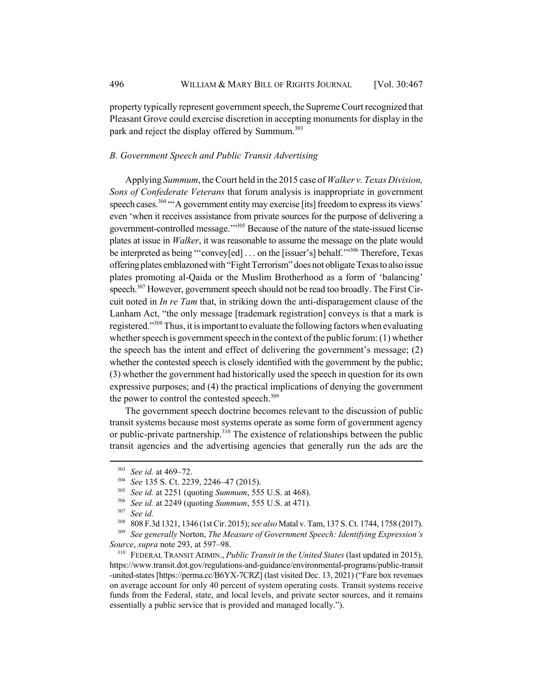property typically represent government speech, the Supreme Court recognized that Pleasant Grove could exercise discretion in accepting monuments for display in the park and reject the display offered by Summum.<sup>303</sup>

## *B. Government Speech and Public Transit Advertising*

Applying *Summum*, the Court held in the 2015 case of *Walker v. Texas Division, Sons of Confederate Veterans* that forum analysis is inappropriate in government speech cases.<sup>304</sup> "A government entity may exercise [its] freedom to express its views' even 'when it receives assistance from private sources for the purpose of delivering a government-controlled message.'"305 Because of the nature of the state-issued license plates at issue in *Walker*, it was reasonable to assume the message on the plate would be interpreted as being "'convey[ed] . . . on the [issuer's] behalf.""306 Therefore, Texas offering plates emblazoned with "Fight Terrorism" does not obligate Texas to also issue plates promoting al-Qaida or the Muslim Brotherhood as a form of 'balancing' speech.<sup>307</sup> However, government speech should not be read too broadly. The First Circuit noted in *In re Tam* that, in striking down the anti-disparagement clause of the Lanham Act, "the only message [trademark registration] conveys is that a mark is registered."308 Thus, it is important to evaluate the following factors when evaluating whether speech is government speech in the context of the public forum: (1) whether the speech has the intent and effect of delivering the government's message; (2) whether the contested speech is closely identified with the government by the public; (3) whether the government had historically used the speech in question for its own expressive purposes; and (4) the practical implications of denying the government the power to control the contested speech.<sup>309</sup>

The government speech doctrine becomes relevant to the discussion of public transit systems because most systems operate as some form of government agency or public-private partnership.<sup>310</sup> The existence of relationships between the public transit agencies and the advertising agencies that generally run the ads are the

<sup>310</sup> FEDERAL TRANSIT ADMIN., *Public Transit in the United States* (last updated in 2015), https://www.transit.dot.gov/regulations-and-guidance/environmental-programs/public-transit -united-states [https://perma.cc/B6YX-7CRZ] (last visited Dec. 13, 2021) ("Fare box revenues on average account for only 40 percent of system operating costs. Transit systems receive funds from the Federal, state, and local levels, and private sector sources, and it remains essentially a public service that is provided and managed locally.").

<sup>303</sup> *See id.* at 469–72.

<sup>304</sup> *See* 135 S. Ct. 2239, 2246–47 (2015).

<sup>305</sup> *See id.* at 2251 (quoting *Summum*, 555 U.S. at 468).

<sup>306</sup> *See id.* at 2249 (quoting *Summum*, 555 U.S. at 471).

<sup>307</sup> *See id.*

<sup>308</sup> 808 F.3d 1321, 1346 (1st Cir. 2015); *see also* Matal v. Tam, 137 S. Ct. 1744, 1758 (2017).

<sup>309</sup> *See generally* Norton, *The Measure of Government Speech: Identifying Expression's Source*, *supra* note 293, at 597–98.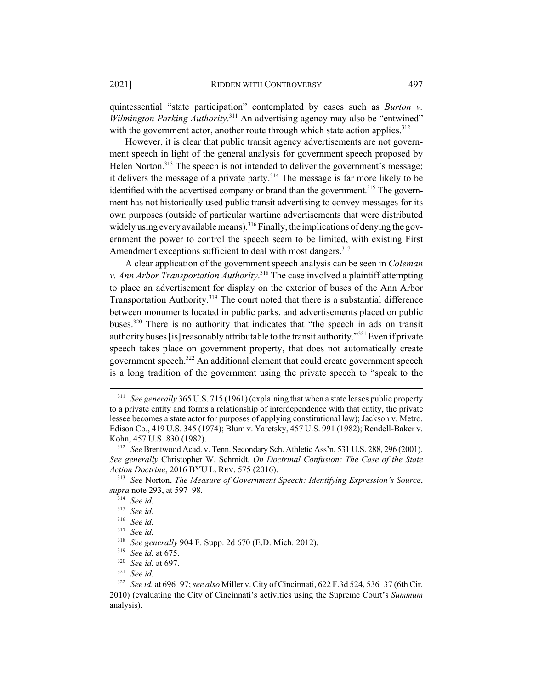quintessential "state participation" contemplated by cases such as *Burton v. Wilmington Parking Authority*. 311 An advertising agency may also be "entwined" with the government actor, another route through which state action applies.<sup>312</sup>

However, it is clear that public transit agency advertisements are not government speech in light of the general analysis for government speech proposed by Helen Norton.<sup>313</sup> The speech is not intended to deliver the government's message; it delivers the message of a private party.<sup>314</sup> The message is far more likely to be identified with the advertised company or brand than the government.<sup>315</sup> The government has not historically used public transit advertising to convey messages for its own purposes (outside of particular wartime advertisements that were distributed widely using every available means).<sup>316</sup> Finally, the implications of denying the government the power to control the speech seem to be limited, with existing First Amendment exceptions sufficient to deal with most dangers.<sup>317</sup>

A clear application of the government speech analysis can be seen in *Coleman v. Ann Arbor Transportation Authority*. 318 The case involved a plaintiff attempting to place an advertisement for display on the exterior of buses of the Ann Arbor Transportation Authority.<sup>319</sup> The court noted that there is a substantial difference between monuments located in public parks, and advertisements placed on public buses.320 There is no authority that indicates that "the speech in ads on transit authority buses [is] reasonably attributable to the transit authority."<sup>321</sup> Even if private speech takes place on government property, that does not automatically create government speech.<sup>322</sup> An additional element that could create government speech is a long tradition of the government using the private speech to "speak to the

<sup>&</sup>lt;sup>311</sup> *See generally* 365 U.S. 715 (1961) (explaining that when a state leases public property to a private entity and forms a relationship of interdependence with that entity, the private lessee becomes a state actor for purposes of applying constitutional law); Jackson v. Metro. Edison Co., 419 U.S. 345 (1974); Blum v. Yaretsky, 457 U.S. 991 (1982); Rendell-Baker v. Kohn, 457 U.S. 830 (1982).

<sup>312</sup> *See* Brentwood Acad. v. Tenn. Secondary Sch. Athletic Ass'n, 531 U.S. 288, 296 (2001). *See generally* Christopher W. Schmidt, *On Doctrinal Confusion: The Case of the State Action Doctrine*, 2016 BYU L. REV. 575 (2016).

<sup>313</sup> *See* Norton, *The Measure of Government Speech: Identifying Expression's Source*, *supra* note 293, at 597–98.

<sup>314</sup> *See id.*

<sup>315</sup> *See id.*

<sup>316</sup> *See id.*

<sup>317</sup> *See id.*

<sup>318</sup> *See generally* 904 F. Supp. 2d 670 (E.D. Mich. 2012).

<sup>319</sup> *See id.* at 675.

<sup>320</sup> *See id.* at 697.

<sup>321</sup> *See id.*

<sup>322</sup> *See id.* at 696–97; *see also* Miller v. City of Cincinnati, 622 F.3d 524, 536–37 (6th Cir. 2010) (evaluating the City of Cincinnati's activities using the Supreme Court's *Summum* analysis).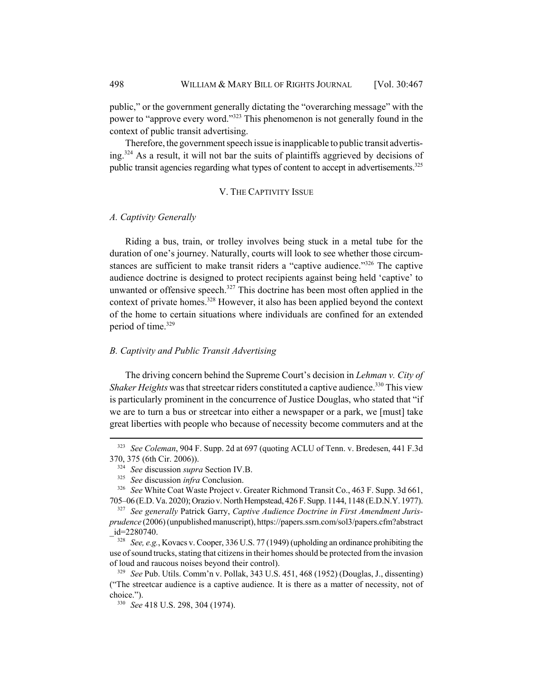public," or the government generally dictating the "overarching message" with the power to "approve every word."323 This phenomenon is not generally found in the context of public transit advertising.

Therefore, the government speech issue is inapplicable to public transit advertising.324 As a result, it will not bar the suits of plaintiffs aggrieved by decisions of public transit agencies regarding what types of content to accept in advertisements.<sup>325</sup>

## V. THE CAPTIVITY ISSUE

## *A. Captivity Generally*

Riding a bus, train, or trolley involves being stuck in a metal tube for the duration of one's journey. Naturally, courts will look to see whether those circumstances are sufficient to make transit riders a "captive audience."<sup>326</sup> The captive audience doctrine is designed to protect recipients against being held 'captive' to unwanted or offensive speech.<sup>327</sup> This doctrine has been most often applied in the context of private homes.<sup>328</sup> However, it also has been applied beyond the context of the home to certain situations where individuals are confined for an extended period of time.<sup>329</sup>

## *B. Captivity and Public Transit Advertising*

The driving concern behind the Supreme Court's decision in *Lehman v. City of Shaker Heights* was that streetcar riders constituted a captive audience.<sup>330</sup> This view is particularly prominent in the concurrence of Justice Douglas, who stated that "if we are to turn a bus or streetcar into either a newspaper or a park, we [must] take great liberties with people who because of necessity become commuters and at the

<sup>323</sup> *See Coleman*, 904 F. Supp. 2d at 697 (quoting ACLU of Tenn. v. Bredesen, 441 F.3d 370, 375 (6th Cir. 2006)).

<sup>324</sup> *See* discussion *supra* Section IV.B.

<sup>325</sup> *See* discussion *infra* Conclusion.

<sup>326</sup> *See* White Coat Waste Project v. Greater Richmond Transit Co., 463 F. Supp. 3d 661, 705–06 (E.D. Va. 2020); Orazio v. North Hempstead, 426 F. Supp. 1144, 1148 (E.D.N.Y. 1977).

<sup>327</sup> *See generally* Patrick Garry, *Captive Audience Doctrine in First Amendment Jurisprudence* (2006) (unpublished manuscript), https://papers.ssrn.com/sol3/papers.cfm?abstract \_id=2280740.

<sup>328</sup> *See, e.g.*, Kovacs v. Cooper, 336 U.S. 77 (1949) (upholding an ordinance prohibiting the use of sound trucks, stating that citizens in their homes should be protected from the invasion of loud and raucous noises beyond their control).

<sup>329</sup> *See* Pub. Utils. Comm'n v. Pollak, 343 U.S. 451, 468 (1952) (Douglas, J., dissenting) ("The streetcar audience is a captive audience. It is there as a matter of necessity, not of choice.").

<sup>330</sup> *See* 418 U.S. 298, 304 (1974).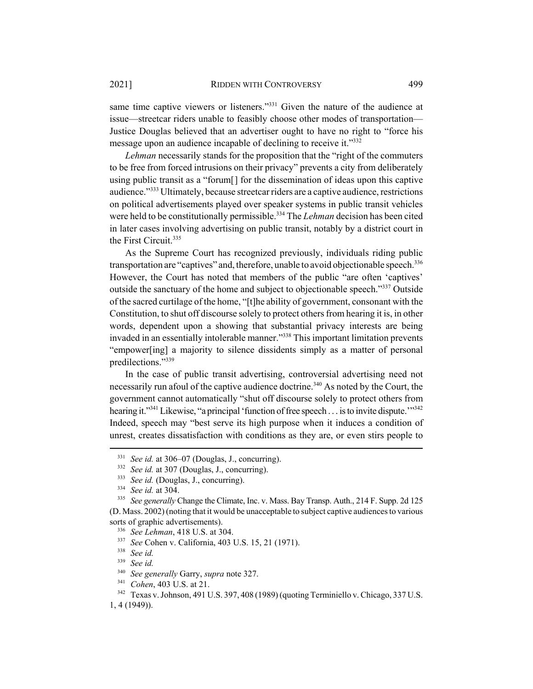2021] RIDDEN WITH CONTROVERSY 499

same time captive viewers or listeners."<sup>331</sup> Given the nature of the audience at issue—streetcar riders unable to feasibly choose other modes of transportation— Justice Douglas believed that an advertiser ought to have no right to "force his message upon an audience incapable of declining to receive it."332

*Lehman* necessarily stands for the proposition that the "right of the commuters to be free from forced intrusions on their privacy" prevents a city from deliberately using public transit as a "forum[] for the dissemination of ideas upon this captive audience."333 Ultimately, because streetcar riders are a captive audience, restrictions on political advertisements played over speaker systems in public transit vehicles were held to be constitutionally permissible.334 The *Lehman* decision has been cited in later cases involving advertising on public transit, notably by a district court in the First Circuit.335

As the Supreme Court has recognized previously, individuals riding public transportation are "captives" and, therefore, unable to avoid objectionable speech.<sup>336</sup> However, the Court has noted that members of the public "are often 'captives' outside the sanctuary of the home and subject to objectionable speech."337 Outside of the sacred curtilage of the home, "[t]he ability of government, consonant with the Constitution, to shut off discourse solely to protect others from hearing it is, in other words, dependent upon a showing that substantial privacy interests are being invaded in an essentially intolerable manner."<sup>338</sup> This important limitation prevents "empower[ing] a majority to silence dissidents simply as a matter of personal predilections."339

In the case of public transit advertising, controversial advertising need not necessarily run afoul of the captive audience doctrine.<sup>340</sup> As noted by the Court, the government cannot automatically "shut off discourse solely to protect others from hearing it."<sup>341</sup> Likewise, "a principal 'function of free speech . . . is to invite dispute."<sup>342</sup> Indeed, speech may "best serve its high purpose when it induces a condition of unrest, creates dissatisfaction with conditions as they are, or even stirs people to

<sup>331</sup> *See id.* at 306–07 (Douglas, J., concurring).

<sup>&</sup>lt;sup>332</sup> *See id.* at 307 (Douglas, J., concurring).

<sup>&</sup>lt;sup>333</sup> *See id.* (Douglas, J., concurring).

<sup>334</sup> *See id.* at 304.

<sup>335</sup> *See generally* Change the Climate, Inc. v. Mass. Bay Transp. Auth., 214 F. Supp. 2d 125 (D. Mass. 2002) (noting that it would be unacceptable to subject captive audiences to various sorts of graphic advertisements).

<sup>336</sup> *See Lehman*, 418 U.S. at 304.

<sup>337</sup> *See* Cohen v. California, 403 U.S. 15, 21 (1971).

<sup>338</sup> *See id.*

<sup>339</sup> *See id.*

<sup>340</sup> *See generally* Garry, *supra* note 327.

<sup>341</sup> *Cohen*, 403 U.S. at 21.

<sup>&</sup>lt;sup>342</sup> Texas v. Johnson, 491 U.S. 397, 408 (1989) (quoting Terminiello v. Chicago, 337 U.S. 1, 4 (1949)).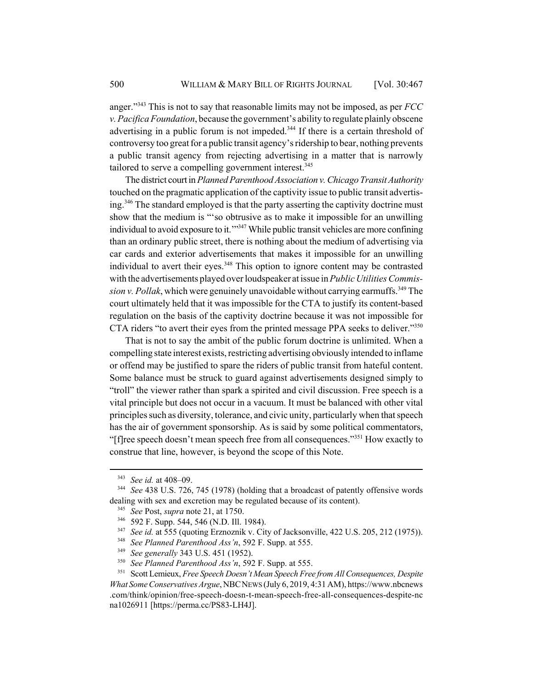anger."343 This is not to say that reasonable limits may not be imposed, as per *FCC v. Pacifica Foundation*, because the government's ability to regulate plainly obscene advertising in a public forum is not impeded.<sup>344</sup> If there is a certain threshold of controversy too great for a public transit agency's ridership to bear, nothing prevents a public transit agency from rejecting advertising in a matter that is narrowly tailored to serve a compelling government interest.<sup>345</sup>

The district court in *Planned Parenthood Association v. Chicago Transit Authority* touched on the pragmatic application of the captivity issue to public transit advertising.346 The standard employed is that the party asserting the captivity doctrine must show that the medium is "'so obtrusive as to make it impossible for an unwilling individual to avoid exposure to it."<sup>347</sup> While public transit vehicles are more confining than an ordinary public street, there is nothing about the medium of advertising via car cards and exterior advertisements that makes it impossible for an unwilling individual to avert their eyes.<sup>348</sup> This option to ignore content may be contrasted with the advertisements played over loudspeaker at issue in *Public Utilities Commission v. Pollak*, which were genuinely unavoidable without carrying earmuffs.<sup>349</sup> The court ultimately held that it was impossible for the CTA to justify its content-based regulation on the basis of the captivity doctrine because it was not impossible for CTA riders "to avert their eyes from the printed message PPA seeks to deliver."<sup>350</sup>

That is not to say the ambit of the public forum doctrine is unlimited. When a compelling state interest exists, restricting advertising obviously intended to inflame or offend may be justified to spare the riders of public transit from hateful content. Some balance must be struck to guard against advertisements designed simply to "troll" the viewer rather than spark a spirited and civil discussion. Free speech is a vital principle but does not occur in a vacuum. It must be balanced with other vital principles such as diversity, tolerance, and civic unity, particularly when that speech has the air of government sponsorship. As is said by some political commentators, "[f]ree speech doesn't mean speech free from all consequences."<sup>351</sup> How exactly to construe that line, however, is beyond the scope of this Note.

<sup>343</sup> *See id.* at 408–09.

<sup>344</sup> *See* 438 U.S. 726, 745 (1978) (holding that a broadcast of patently offensive words dealing with sex and excretion may be regulated because of its content).

<sup>345</sup> *See* Post, *supra* note 21, at 1750.

<sup>346</sup> 592 F. Supp. 544, 546 (N.D. Ill. 1984).

<sup>347</sup> *See id.* at 555 (quoting Erznoznik v. City of Jacksonville, 422 U.S. 205, 212 (1975)).

<sup>348</sup> *See Planned Parenthood Ass'n*, 592 F. Supp. at 555.

<sup>349</sup> *See generally* 343 U.S. 451 (1952).

<sup>350</sup> *See Planned Parenthood Ass'n*, 592 F. Supp. at 555.

<sup>351</sup> Scott Lemieux, *Free Speech Doesn't Mean Speech Free from All Consequences, Despite What Some Conservatives Argue*, NBCNEWS (July 6, 2019, 4:31 AM), https://www.nbcnews .com/think/opinion/free-speech-doesn-t-mean-speech-free-all-consequences-despite-nc na1026911 [https://perma.cc/PS83-LH4J].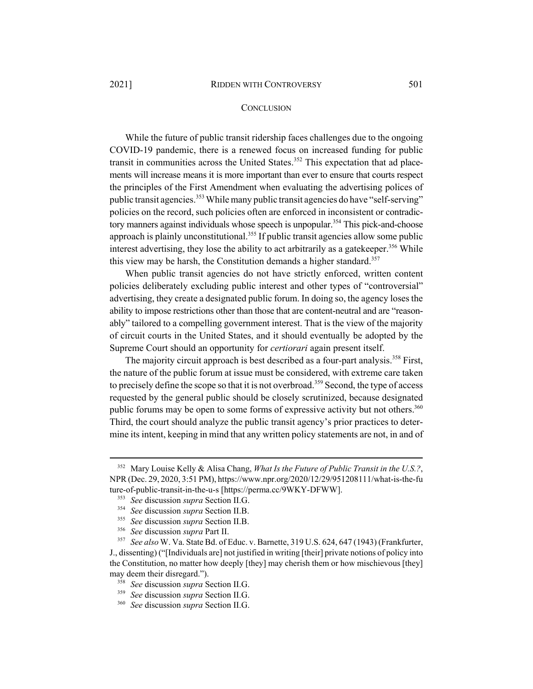## **CONCLUSION**

While the future of public transit ridership faces challenges due to the ongoing COVID-19 pandemic, there is a renewed focus on increased funding for public transit in communities across the United States.<sup>352</sup> This expectation that ad placements will increase means it is more important than ever to ensure that courts respect the principles of the First Amendment when evaluating the advertising polices of public transit agencies.<sup>353</sup> While many public transit agencies do have "self-serving" policies on the record, such policies often are enforced in inconsistent or contradictory manners against individuals whose speech is unpopular.<sup>354</sup> This pick-and-choose approach is plainly unconstitutional.<sup>355</sup> If public transit agencies allow some public interest advertising, they lose the ability to act arbitrarily as a gate keeper.<sup>356</sup> While this view may be harsh, the Constitution demands a higher standard.<sup>357</sup>

When public transit agencies do not have strictly enforced, written content policies deliberately excluding public interest and other types of "controversial" advertising, they create a designated public forum. In doing so, the agency loses the ability to impose restrictions other than those that are content-neutral and are "reasonably" tailored to a compelling government interest. That is the view of the majority of circuit courts in the United States, and it should eventually be adopted by the Supreme Court should an opportunity for *certiorari* again present itself.

The majority circuit approach is best described as a four-part analysis.<sup>358</sup> First, the nature of the public forum at issue must be considered, with extreme care taken to precisely define the scope so that it is not overbroad.<sup>359</sup> Second, the type of access requested by the general public should be closely scrutinized, because designated public forums may be open to some forms of expressive activity but not others.<sup>360</sup> Third, the court should analyze the public transit agency's prior practices to determine its intent, keeping in mind that any written policy statements are not, in and of

<sup>352</sup> Mary Louise Kelly & Alisa Chang, *What Is the Future of Public Transit in the U.S.?*, NPR (Dec. 29, 2020, 3:51 PM), https://www.npr.org/2020/12/29/951208111/what-is-the-fu ture-of-public-transit-in-the-u-s [https://perma.cc/9WKY-DFWW].

<sup>353</sup> *See* discussion *supra* Section II.G.

<sup>354</sup> *See* discussion *supra* Section II.B.

<sup>355</sup> *See* discussion *supra* Section II.B.

<sup>356</sup> *See* discussion *supra* Part II.

<sup>357</sup> *See also* W. Va. State Bd. of Educ. v. Barnette, 319 U.S. 624, 647 (1943) (Frankfurter,

J., dissenting) ("[Individuals are] not justified in writing [their] private notions of policy into the Constitution, no matter how deeply [they] may cherish them or how mischievous [they] may deem their disregard.").

<sup>358</sup> *See* discussion *supra* Section II.G.

<sup>359</sup> *See* discussion *supra* Section II.G.

<sup>360</sup> *See* discussion *supra* Section II.G.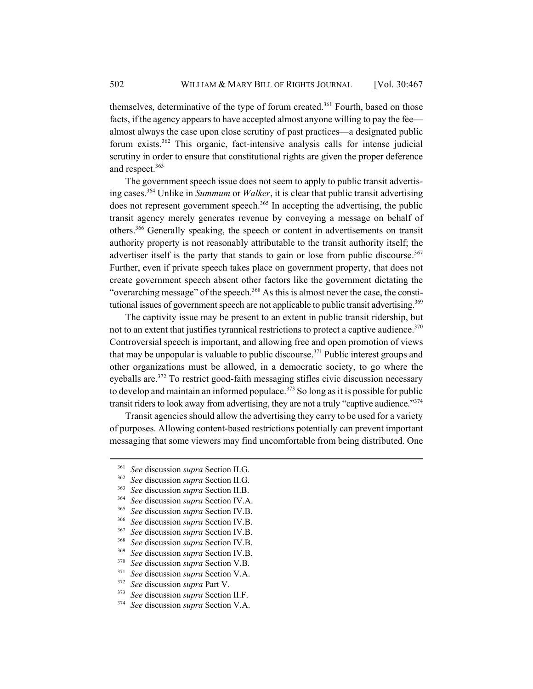themselves, determinative of the type of forum created.<sup>361</sup> Fourth, based on those facts, if the agency appears to have accepted almost anyone willing to pay the fee almost always the case upon close scrutiny of past practices—a designated public forum exists.362 This organic, fact-intensive analysis calls for intense judicial scrutiny in order to ensure that constitutional rights are given the proper deference and respect.<sup>363</sup>

The government speech issue does not seem to apply to public transit advertising cases.364 Unlike in *Summum* or *Walker*, it is clear that public transit advertising does not represent government speech.<sup>365</sup> In accepting the advertising, the public transit agency merely generates revenue by conveying a message on behalf of others.366 Generally speaking, the speech or content in advertisements on transit authority property is not reasonably attributable to the transit authority itself; the advertiser itself is the party that stands to gain or lose from public discourse.<sup>367</sup> Further, even if private speech takes place on government property, that does not create government speech absent other factors like the government dictating the "overarching message" of the speech.<sup>368</sup> As this is almost never the case, the constitutional issues of government speech are not applicable to public transit advertising.<sup>369</sup>

The captivity issue may be present to an extent in public transit ridership, but not to an extent that justifies tyrannical restrictions to protect a captive audience.  $370$ Controversial speech is important, and allowing free and open promotion of views that may be unpopular is valuable to public discourse.371 Public interest groups and other organizations must be allowed, in a democratic society, to go where the eyeballs are.<sup>372</sup> To restrict good-faith messaging stifles civic discussion necessary to develop and maintain an informed populace.<sup>373</sup> So long as it is possible for public transit riders to look away from advertising, they are not a truly "captive audience."<sup>374</sup>

Transit agencies should allow the advertising they carry to be used for a variety of purposes. Allowing content-based restrictions potentially can prevent important messaging that some viewers may find uncomfortable from being distributed. One

- <sup>364</sup> *See* discussion *supra* Section IV.A.
- <sup>365</sup> *See* discussion *supra* Section IV.B.
- <sup>366</sup> *See* discussion *supra* Section IV.B.
- <sup>367</sup> *See* discussion *supra* Section IV.B.
- <sup>368</sup> *See* discussion *supra* Section IV.B.
- <sup>369</sup> *See* discussion *supra* Section IV.B.
- <sup>370</sup> *See* discussion *supra* Section V.B.
- <sup>371</sup> *See* discussion *supra* Section V.A.
- <sup>372</sup> *See* discussion *supra* Part V.
- <sup>373</sup> *See* discussion *supra* Section II.F.
- <sup>374</sup> *See* discussion *supra* Section V.A.

<sup>361</sup> *See* discussion *supra* Section II.G.

<sup>362</sup> *See* discussion *supra* Section II.G.

<sup>363</sup> *See* discussion *supra* Section II.B.